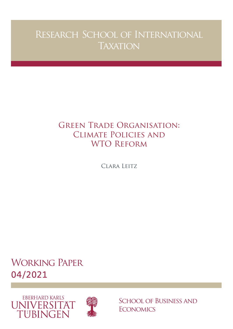# Research School of International **TAXATION**

# Green Trade Organisation: Climate Policies and WTO Reform

Clara Leitz

Working Paper 04/2021





School of Business and **ECONOMICS**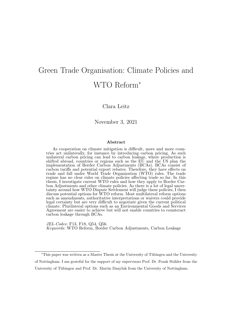# Green Trade Organisation: Climate Policies and WTO Reform<sup>∗</sup>

Clara Leitz

November 3, 2021

#### Abstract

As cooperation on climate mitigation is difficult, more and more countries act unilaterally, for instance by introducing carbon pricing. As such unilateral carbon pricing can lead to carbon leakage, where production is shifted abroad, countries or regions such as the EU and the US plan the implementation of Border Carbon Adjustments (BCAs). BCAs consist of carbon tariffs and potential export rebates. Therefore, they have effects on trade and fall under World Trade Organization (WTO) rules. The trade regime has no clear rules on climate policies affecting trade so far. In this thesis, I investigate current WTO rules and how they apply to Border Carbon Adjustments and other climate policies. As there is a lot of legal uncertainty around how WTO Dispute Settlement will judge these policies, I then discuss potential options for WTO reform. Most multilateral reform options such as amendments, authoritative interpretations or waivers could provide legal certainty but are very difficult to negotiate given the current political climate. Plurilateral options such as an Environmental Goods and Services Agreement are easier to achieve but will not enable countries to counteract carbon leakage through BCAs.

JEL-Codes: F13, F18, Q54, Q56. Keywords: WTO Reform, Border Carbon Adjustments, Carbon Leakage

<sup>∗</sup>This paper was written as a Master Thesis at the University of T¨ubingen and the University of Nottingham. I am grateful for the support of my supervisors Prof. Dr. Frank Stähler from the University of Tübingen and Prof. Dr. Martin Danyluk from the University of Nottingham.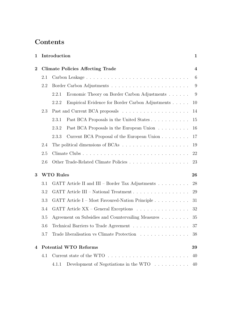## Contents

| $\mathbf{1}$ |                                         | Introduction<br>$\mathbf{1}$                                                          |    |  |  |  |  |
|--------------|-----------------------------------------|---------------------------------------------------------------------------------------|----|--|--|--|--|
| $\bf{2}$     | <b>Climate Policies Affecting Trade</b> |                                                                                       |    |  |  |  |  |
|              | 2.1                                     |                                                                                       | 6  |  |  |  |  |
|              | 2.2                                     |                                                                                       | 9  |  |  |  |  |
|              |                                         | 2.2.1<br>Economic Theory on Border Carbon Adjustments                                 | 9  |  |  |  |  |
|              |                                         | 2.2.2<br>Empirical Evidence for Border Carbon Adjustments                             | 10 |  |  |  |  |
|              | 2.3                                     |                                                                                       | 14 |  |  |  |  |
|              |                                         | Past BCA Proposals in the United States<br>2.3.1                                      | 15 |  |  |  |  |
|              |                                         | 2.3.2<br>Past BCA Proposals in the European Union                                     | 16 |  |  |  |  |
|              |                                         | Current BCA Proposal of the European Union<br>2.3.3                                   | 17 |  |  |  |  |
|              | 2.4                                     |                                                                                       | 19 |  |  |  |  |
|              | 2.5                                     |                                                                                       | 22 |  |  |  |  |
|              | 2.6                                     |                                                                                       | 23 |  |  |  |  |
| 3            |                                         | <b>WTO Rules</b><br>26                                                                |    |  |  |  |  |
|              | 3.1                                     | GATT Article II and III – Border Tax Adjustments                                      | 28 |  |  |  |  |
|              | 3.2                                     | GATT Article III – National Treatment                                                 | 29 |  |  |  |  |
|              | 3.3                                     | GATT Article I – Most Favoured-Nation Principle                                       | 31 |  |  |  |  |
|              | 3.4                                     | GATT Article XX – General Exceptions                                                  | 32 |  |  |  |  |
|              | 3.5                                     | Agreement on Subsidies and Countervailing Measures                                    | 35 |  |  |  |  |
|              | 3.6                                     | Technical Barriers to Trade Agreement                                                 | 37 |  |  |  |  |
|              | 3.7                                     | Trade liberalisation vs Climate Protection                                            | 38 |  |  |  |  |
| 4            |                                         | <b>Potential WTO Reforms</b><br>39                                                    |    |  |  |  |  |
|              | 4.1                                     |                                                                                       | 40 |  |  |  |  |
|              |                                         | Development of Negotiations in the WTO $\;\ldots\; \ldots\; \ldots\; \ldots$<br>4.1.1 | 40 |  |  |  |  |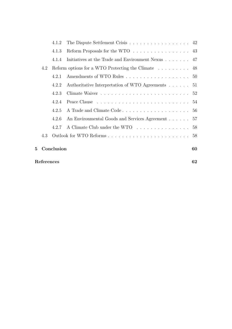|   | 62<br>References |       |                                                                                                                                                                                                                                |    |  |  |  |  |
|---|------------------|-------|--------------------------------------------------------------------------------------------------------------------------------------------------------------------------------------------------------------------------------|----|--|--|--|--|
| 5 | Conclusion       |       |                                                                                                                                                                                                                                |    |  |  |  |  |
|   | 4.3              |       |                                                                                                                                                                                                                                | 58 |  |  |  |  |
|   |                  | 4.2.7 | A Climate Club under the WTO 58                                                                                                                                                                                                |    |  |  |  |  |
|   |                  | 4.2.6 | An Environmental Goods and Services Agreement 57                                                                                                                                                                               |    |  |  |  |  |
|   |                  | 4.2.5 |                                                                                                                                                                                                                                |    |  |  |  |  |
|   |                  | 4.2.4 | Peace Clause recovered as a series of the contract of the contract of the Peace Clause of the Clause of the Clause Clause of the Clause Clause Clause Clause Clause Clause Clause Clause Clause Clause Clause Clause Clause Cl |    |  |  |  |  |
|   |                  | 4.2.3 |                                                                                                                                                                                                                                |    |  |  |  |  |
|   |                  | 4.2.2 | Authoritative Interpretation of WTO Agreements 51                                                                                                                                                                              |    |  |  |  |  |
|   |                  | 4.2.1 |                                                                                                                                                                                                                                |    |  |  |  |  |
|   | 4.2              |       | Reform options for a WTO Protecting the Climate $\dots \dots \dots$ 48                                                                                                                                                         |    |  |  |  |  |
|   |                  | 4.1.4 | Initiatives at the Trade and Environment Nexus 47                                                                                                                                                                              |    |  |  |  |  |
|   |                  | 4.1.3 | Reform Proposals for the WTO $\dots \dots \dots \dots \dots \dots \dots$ 43                                                                                                                                                    |    |  |  |  |  |
|   |                  | 4.1.2 | The Dispute Settlement Crisis $\ldots \ldots \ldots \ldots \ldots \ldots$ 42                                                                                                                                                   |    |  |  |  |  |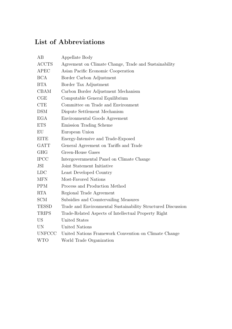## List of Abbreviations

| AB            | Appellate Body                                               |
|---------------|--------------------------------------------------------------|
| <b>ACCTS</b>  | Agreement on Climate Change, Trade and Sustainability        |
| <b>APEC</b>   | Asian Pacific Economic Cooperation                           |
| <b>BCA</b>    | Border Carbon Adjustment                                     |
| <b>BTA</b>    | Border Tax Adjustment                                        |
| <b>CBAM</b>   | Carbon Border Adjustment Mechanism                           |
| CGE           | Computable General Equilibrium                               |
| <b>CTE</b>    | Committee on Trade and Environment                           |
| <b>DSM</b>    | Dispute Settlement Mechanism                                 |
| <b>EGA</b>    | Environmental Goods Agreement                                |
| <b>ETS</b>    | Emission Trading Scheme                                      |
| EU            | European Union                                               |
| <b>EITE</b>   | Energy-Intensive and Trade-Exposed                           |
| <b>GATT</b>   | General Agreement on Tariffs and Trade                       |
| <b>GHG</b>    | <b>Green-House Gases</b>                                     |
| <b>IPCC</b>   | Intergovernmental Panel on Climate Change                    |
| JSI           | Joint Statement Initiative                                   |
| <b>LDC</b>    | Least Developed Country                                      |
| <b>MFN</b>    | Most-Favored Nations                                         |
| <b>PPM</b>    | Process and Production Method                                |
| <b>RTA</b>    | Regional Trade Agreement                                     |
| <b>SCM</b>    | Subsidies and Countervailing Measures                        |
| <b>TESSD</b>  | Trade and Environmental Sustainability Structured Discussion |
| TRIPS         | Trade-Related Aspects of Intellectual Property Right         |
| US            | United States                                                |
| <b>UN</b>     | <b>United Nations</b>                                        |
| <b>UNFCCC</b> | United Nations Framework Convention on Climate Change        |
| <b>WTO</b>    | World Trade Organization                                     |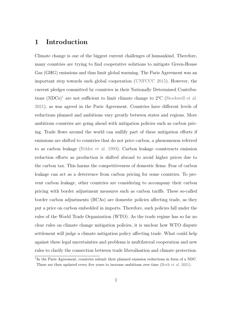### <span id="page-5-0"></span>1 Introduction

Climate change is one of the biggest current challenges of humankind. Therefore, many countries are trying to find cooperative solutions to mitigate Green-House Gas (GHG) emissions and thus limit global warming. The Paris Agreement was an important step towards such global cooperation [\(UNFCCC 2015\)](#page-77-0). However, the current pledges committed by countries in their Nationally Determined Contributions  $(NDCs)^{1}$  $(NDCs)^{1}$  $(NDCs)^{1}$  are not sufficient to limit climate change to  $2^{\circ}C$  [\(Stockwell et al.](#page-76-0) [2021\)](#page-76-0), as was agreed in the Paris Agreement. Countries have different levels of reductions planned and ambitions vary greatly between states and regions. More ambitious countries are going ahead with mitigation policies such as carbon pricing. Trade flows around the world can nullify part of these mitigation efforts if emissions are shifted to countries that do not price carbon, a phenomenon referred to as carbon leakage [\(Felder et al. 1993\)](#page-70-0). Carbon leakage counteracts emission reduction efforts as production is shifted abroad to avoid higher prices due to the carbon tax. This harms the competitiveness of domestic firms. Fear of carbon leakage can act as a deterrence from carbon pricing for some countries. To prevent carbon leakage, other countries are considering to accompany their carbon pricing with border adjustment measures such as carbon tariffs. These so-called border carbon adjustments (BCAs) are domestic policies affecting trade, as they put a price on carbon embedded in imports. Therefore, such policies fall under the rules of the World Trade Organization (WTO). As the trade regime has so far no clear rules on climate change mitigation policies, it is unclear how WTO dispute settlement will judge a climate mitigation policy affecting trade. What could help against these legal uncertainties and problems is multilateral cooperation and new rules to clarify the connection between trade liberalisation and climate protection.

<span id="page-5-1"></span><sup>&</sup>lt;sup>1</sup>In the Paris Agreement, countries submit their planned emission reductions in form of a NDC. These are then updated every five years to increase ambitions over time [\(Roth et al. 2021\)](#page-76-1).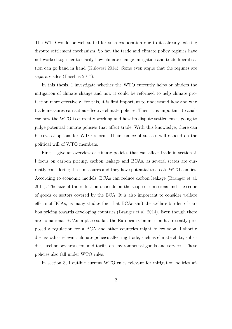The WTO would be well-suited for such cooperation due to its already existing dispute settlement mechanism. So far, the trade and climate policy regimes have not worked together to clarify how climate change mitigation and trade liberalisation can go hand in hand [\(Kulovesi 2014\)](#page-73-0). Some even argue that the regimes are separate silos [\(Bacchus 2017\)](#page-66-1).

In this thesis, I investigate whether the WTO currently helps or hinders the mitigation of climate change and how it could be reformed to help climate protection more effectively. For this, it is first important to understand how and why trade measures can act as effective climate policies. Then, it is important to analyse how the WTO is currently working and how its dispute settlement is going to judge potential climate policies that affect trade. With this knowledge, there can be several options for WTO reform. Their chance of success will depend on the political will of WTO members.

First, I give an overview of climate policies that can affect trade in section [2.](#page-8-0) I focus on carbon pricing, carbon leakage and BCAs, as several states are currently considering these measures and they have potential to create WTO conflict. According to economic models, BCAs can reduce carbon leakage [\(Branger et al.](#page-67-0) [2014\)](#page-67-0). The size of the reduction depends on the scope of emissions and the scope of goods or sectors covered by the BCA. It is also important to consider welfare effects of BCAs, as many studies find that BCAs shift the welfare burden of carbon pricing towards developing countries [\(Branger et al. 2014\)](#page-67-0). Even though there are no national BCAs in place so far, the European Commission has recently proposed a regulation for a BCA and other countries might follow soon. I shortly discuss other relevant climate policies affecting trade, such as climate clubs, subsidies, technology transfers and tariffs on environmental goods and services. These policies also fall under WTO rules.

In section [3,](#page-30-0) I outline current WTO rules relevant for mitigation policies af-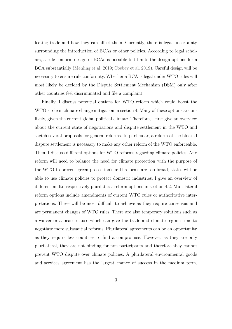fecting trade and how they can affect them. Currently, there is legal uncertainty surrounding the introduction of BCAs or other policies. According to legal scholars, a rule-conform design of BCAs is possible but limits the design options for a BCA substantially [\(Mehling et al. 2019;](#page-74-0) [Cosbey et al. 2019\)](#page-68-0). Careful design will be necessary to ensure rule conformity. Whether a BCA is legal under WTO rules will most likely be decided by the Dispute Settlement Mechanism (DSM) only after other countries feel discriminated and file a complaint.

Finally, I discuss potential options for WTO reform which could boost the WTO's role in climate change mitigation in section [4.](#page-43-0) Many of these options are unlikely, given the current global political climate. Therefore, I first give an overview about the current state of negotiations and dispute settlement in the WTO and sketch several proposals for general reforms. In particular, a reform of the blocked dispute settlement is necessary to make any other reform of the WTO enforceable. Then, I discuss different options for WTO reforms regarding climate policies. Any reform will need to balance the need for climate protection with the purpose of the WTO to prevent green protectionism: If reforms are too broad, states will be able to use climate policies to protect domestic industries. I give an overview of different multi- respectively plurilateral reform options in section [4.2.](#page-52-0) Multilateral reform options include amendments of current WTO rules or authoritative interpretations. These will be most difficult to achieve as they require consensus and are permanent changes of WTO rules. There are also temporary solutions such as a waiver or a peace clause which can give the trade and climate regime time to negotiate more substantial reforms. Plurilateral agreements can be an opportunity as they require less countries to find a compromise. However, as they are only plurilateral, they are not binding for non-participants and therefore they cannot prevent WTO dispute over climate policies. A plurilateral environmental goods and services agreement has the largest chance of success in the medium term,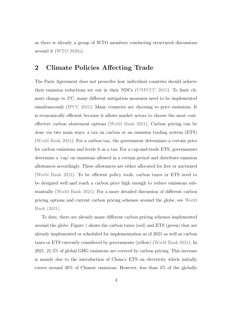as there is already a group of WTO members conducting structured discussions around it [\(WTO 2020a\)](#page-78-0).

## <span id="page-8-0"></span>2 Climate Policies Affecting Trade

The Paris Agreement does not prescribe how individual countries should achieve their emission reductions set out in their NDCs [\(UNFCCC 2015\)](#page-77-0). To limit climate change to 2°C, many different mitigation measures need to be implemented simultaneously [\(IPCC 2021\)](#page-72-0). Many countries are choosing to price emissions. It is economically efficient because it allows market actors to choose the most costeffective carbon abatement options [\(World Bank 2021\)](#page-77-1). Carbon pricing can be done via two main ways: a tax on carbon or an emission trading system (ETS) [\(World Bank 2021\)](#page-77-1). For a carbon tax, the government determines a certain price for carbon emissions and levels it as a tax. For a cap-and-trade ETS, governments determine a 'cap' on emissions allowed in a certain period and distribute emission allowances accordingly. These allowances are either allocated for free or auctioned [\(World Bank 2021\)](#page-77-1). To be efficient policy tools, carbon taxes or ETS need to be designed well and reach a carbon price high enough to reduce emissions substantially [\(World Bank 2021\)](#page-77-1). For a more detailed discussion of different carbon pricing options and current carbon pricing schemes around the globe, see [World](#page-77-1) [Bank \(2021\).](#page-77-1)

To date, there are already many different carbon pricing schemes implemented around the globe. Figure [1](#page-9-0) shows the carbon taxes (red) and ETS (green) that are already implemented or scheduled for implementation as of 2021 as well as carbon taxes or ETS currently considered by governments (yellow) [\(World Bank 2021\)](#page-77-1). In 2021, 21.5% of global GHG emissions are covered by carbon pricing. This increase is mainly due to the introduction of China's ETS on electricity which initially covers around 30% of Chinese emissions. However, less than 4% of the globally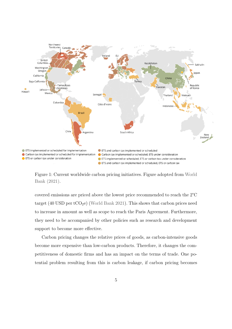

<span id="page-9-0"></span>Figure 1: Current worldwide carbon pricing initiatives. Figure adopted from [World](#page-77-1) [Bank \(2021\).](#page-77-1)

covered emissions are priced above the lowest price recommended to reach the 2°C target (40 USD per  $tCO_2e$ ) [\(World Bank 2021\)](#page-77-1). This shows that carbon prices need to increase in amount as well as scope to reach the Paris Agreement. Furthermore, they need to be accompanied by other policies such as research and development support to become more effective.

Carbon pricing changes the relative prices of goods, as carbon-intensive goods become more expensive than low-carbon products. Therefore, it changes the competitiveness of domestic firms and has an impact on the terms of trade. One potential problem resulting from this is carbon leakage, if carbon pricing becomes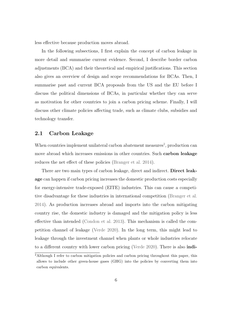less effective because production moves abroad.

In the following subsections, I first explain the concept of carbon leakage in more detail and summarise current evidence. Second, I describe border carbon adjustments (BCA) and their theoretical and empirical justifications. This section also gives an overview of design and scope recommendations for BCAs. Then, I summarise past and current BCA proposals from the US and the EU before I discuss the political dimensions of BCAs, in particular whether they can serve as motivation for other countries to join a carbon pricing scheme. Finally, I will discuss other climate policies affecting trade, such as climate clubs, subsidies and technology transfer.

#### <span id="page-10-0"></span>2.1 Carbon Leakage

When countries implement unilateral carbon abatement measures<sup>[2](#page-10-1)</sup>, production can move abroad which increases emissions in other countries. Such **carbon leakage** reduces the net effect of these policies [\(Branger et al. 2014\)](#page-67-0).

There are two main types of carbon leakage, direct and indirect. Direct leakage can happen if carbon pricing increases the domestic production costs especially for energy-intensive trade-exposed (EITE) industries. This can cause a competitive disadvantage for these industries in international competition [\(Branger et al.](#page-67-0) [2014\)](#page-67-0). As production increases abroad and imports into the carbon mitigating country rise, the domestic industry is damaged and the mitigation policy is less effective than intended [\(Condon et al. 2013\)](#page-68-1). This mechanism is called the competition channel of leakage [\(Verde 2020\)](#page-77-2). In the long term, this might lead to leakage through the investment channel when plants or whole industries relocate to a different country with lower carbon pricing [\(Verde 2020\)](#page-77-2). There is also indi-

<span id="page-10-1"></span><sup>&</sup>lt;sup>2</sup>Although I refer to carbon mitigation policies and carbon pricing throughout this paper, this allows to include other green-house gases (GHG) into the policies by converting them into carbon equivalents.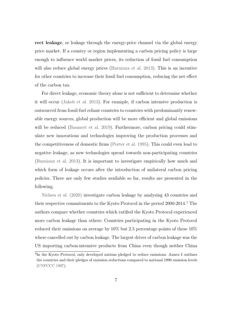rect leakage, or leakage through the energy-price channel via the global energy price market. If a country or region implementing a carbon pricing policy is large enough to influence world market prices, its reduction of fossil fuel consumption will also reduce global energy prices [\(Burniaux et al. 2013\)](#page-68-2). This is an incentive for other countries to increase their fossil fuel consumption, reducing the net effect of the carbon tax.

For direct leakage, economic theory alone is not sufficient to determine whether it will occur [\(Jakob et al. 2013\)](#page-73-1). For example, if carbon intensive production is outsourced from fossil-fuel reliant countries to countries with predominantly renewable energy sources, global production will be more efficient and global emissions will be reduced [\(Baumert et al. 2019\)](#page-66-2). Furthermore, carbon pricing could stimulate new innovations and technologies improving the production processes and the competitiveness of domestic firms [\(Porter et al. 1995\)](#page-76-2). This could even lead to negative leakage, as new technologies spread towards non-participating countries [\(Burniaux et al. 2013\)](#page-68-2). It is important to investigate empirically how much and which form of leakage occurs after the introduction of unilateral carbon pricing policies. There are only few studies available so far, results are presented in the following.

[Nielsen et al. \(2020\)](#page-75-0) investigate carbon leakage by analysing 43 countries and their respective commitments to the Kyoto Protocol in the period 2000-2014.[3](#page-11-0) The authors compare whether countries which ratified the Kyoto Protocol experienced more carbon leakage than others: Countries participating in the Kyoto Protocol reduced their emissions on average by  $10\%$  but 2.5 percentage points of these  $10\%$ where cancelled out by carbon leakage. The largest driver of carbon leakage was the US importing carbon-intensive products from China even though neither China

<span id="page-11-0"></span><sup>&</sup>lt;sup>3</sup>In the Kyoto Protocol, only developed nations pledged to reduce emissions. Annex I outlines the countries and their pledges of emission reductions compared to national 1990 emission levels [\(UNFCCC 1997\)](#page-76-3).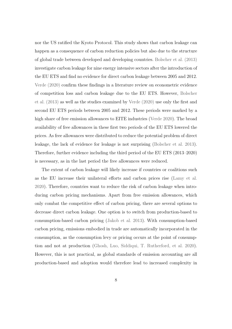nor the US ratified the Kyoto Protocol. This study shows that carbon leakage can happen as a consequence of carbon reduction policies but also due to the structure of global trade between developed and developing countries. [Bolscher et al. \(2013\)](#page-67-1) investigate carbon leakage for nine energy intensive sectors after the introduction of the EU ETS and find no evidence for direct carbon leakage between 2005 and 2012. [Verde \(2020\)](#page-77-2) confirm these findings in a literature review on econometric evidence of competition loss and carbon leakage due to the EU ETS. However, [Bolscher](#page-67-1) [et al. \(2013\)](#page-67-1) as well as the studies examined by [Verde \(2020\)](#page-77-2) use only the first and second EU ETS periods between 2005 and 2012. These periods were marked by a high share of free emission allowances to EITE industries [\(Verde 2020\)](#page-77-2). The broad availability of free allowances in these first two periods of the EU ETS lowered the prices. As free allowances were distributed to reduce the potential problem of direct leakage, the lack of evidence for leakage is not surprising [\(Bolscher et al. 2013\)](#page-67-1). Therefore, further evidence including the third period of the EU ETS (2013–2020) is necessary, as in the last period the free allowances were reduced.

The extent of carbon leakage will likely increase if countries or coalitions such as the EU increase their unilateral efforts and carbon prices rise [\(Lamy et al.](#page-73-2) [2020\)](#page-73-2). Therefore, countries want to reduce the risk of carbon leakage when introducing carbon pricing mechanisms. Apart from free emission allowances, which only combat the competitive effect of carbon pricing, there are several options to decrease direct carbon leakage. One option is to switch from production-based to consumption-based carbon pricing [\(Jakob et al. 2013\)](#page-73-1). With consumption-based carbon pricing, emissions embodied in trade are automatically incorporated in the consumption, as the consumption levy or pricing occurs at the point of consumption and not at production [\(Ghosh, Luo, Siddiqui, T. Rutherford, et al. 2020\)](#page-70-1). However, this is not practical, as global standards of emission accounting are all production-based and adoption would therefore lead to increased complexity in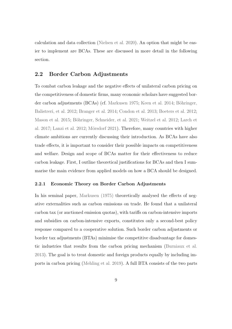calculation and data collection [\(Nielsen et al. 2020\)](#page-75-0). An option that might be easier to implement are BCAs. These are discussed in more detail in the following section.

#### <span id="page-13-0"></span>2.2 Border Carbon Adjustments

To combat carbon leakage and the negative effects of unilateral carbon pricing on the competitiveness of domestic firms, many economic scholars have suggested border carbon adjustments ( $BCAs$ ) (cf. [Markusen 1975;](#page-74-1) [Keen et al. 2014;](#page-73-3) Böhringer, [Balistreri, et al. 2012;](#page-67-2) [Branger et al. 2014;](#page-67-0) [Condon et al. 2013;](#page-68-1) [Boeters et al. 2012;](#page-67-3) [Mason et al. 2015;](#page-74-2) Böhringer, Schneider, et al. 2021; [Weitzel et al. 2012;](#page-77-3) [Larch et](#page-73-4) [al. 2017;](#page-73-4) [Lanzi et al. 2012;](#page-73-5) Mörsdorf 2021). Therefore, many countries with higher climate ambitions are currently discussing their introduction. As BCAs have also trade effects, it is important to consider their possible impacts on competitiveness and welfare. Design and scope of BCAs matter for their effectiveness to reduce carbon leakage. First, I outline theoretical justifications for BCAs and then I summarise the main evidence from applied models on how a BCA should be designed.

#### <span id="page-13-1"></span>2.2.1 Economic Theory on Border Carbon Adjustments

In his seminal paper, [Markusen \(1975\)](#page-74-1) theoretically analysed the effects of negative externalities such as carbon emissions on trade. He found that a unilateral carbon tax (or auctioned emission quotas), with tariffs on carbon-intensive imports and subsidies on carbon-intensive exports, constitutes only a second-best policy response compared to a cooperative solution. Such border carbon adjustments or border tax adjustments (BTAs) minimise the competitive disadvantage for domestic industries that results from the carbon pricing mechanism [\(Burniaux et al.](#page-68-2) [2013\)](#page-68-2). The goal is to treat domestic and foreign products equally by including imports in carbon pricing [\(Mehling et al. 2019\)](#page-74-0). A full BTA consists of the two parts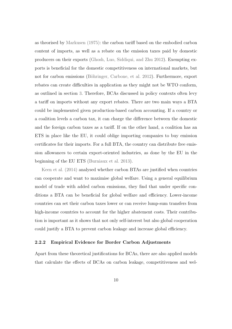as theorised by [Markusen \(1975\):](#page-74-1) the carbon tariff based on the embodied carbon content of imports, as well as a rebate on the emission taxes paid by domestic producers on their exports [\(Ghosh, Luo, Siddiqui, and Zhu 2012\)](#page-70-2). Exempting exports is beneficial for the domestic competitiveness on international markets, but not for carbon emissions (Böhringer, Carbone, et al. 2012). Furthermore, export rebates can create difficulties in application as they might not be WTO conform, as outlined in section [3.](#page-30-0) Therefore, BCAs discussed in policy contexts often levy a tariff on imports without any export rebates. There are two main ways a BTA could be implemented given production-based carbon accounting. If a country or a coalition levels a carbon tax, it can charge the difference between the domestic and the foreign carbon taxes as a tariff. If on the other hand, a coalition has an ETS in place like the EU, it could oblige importing companies to buy emission certificates for their imports. For a full BTA, the country can distribute free emission allowances to certain export-oriented industries, as done by the EU in the beginning of the EU ETS [\(Burniaux et al. 2013\)](#page-68-2).

[Keen et al. \(2014\)](#page-73-3) analysed whether carbon BTAs are justified when countries can cooperate and want to maximise global welfare. Using a general equilibrium model of trade with added carbon emissions, they find that under specific conditions a BTA can be beneficial for global welfare and efficiency. Lower-income countries can set their carbon taxes lower or can receive lump-sum transfers from high-income countries to account for the higher abatement costs. Their contribution is important as it shows that not only self-interest but also global cooperation could justify a BTA to prevent carbon leakage and increase global efficiency.

#### <span id="page-14-0"></span>2.2.2 Empirical Evidence for Border Carbon Adjustments

Apart from these theoretical justifications for BCAs, there are also applied models that calculate the effects of BCAs on carbon leakage, competitiveness and wel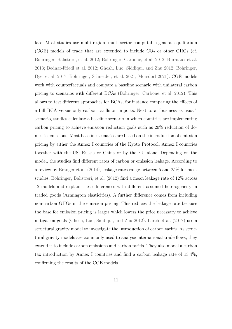fare. Most studies use multi-region, multi-sector computable general equilibrium (CGE) models of trade that are extended to include  $CO<sub>2</sub>$  or other GHGs (cf. Böhringer, Balistreri, et al. 2012; Böhringer, Carbone, et al. 2012; [Burniaux et al.](#page-68-2) [2013;](#page-68-2) [Bednar-Friedl et al. 2012;](#page-66-3) [Ghosh, Luo, Siddiqui, and Zhu 2012;](#page-70-2) Böhringer, [Bye, et al. 2017;](#page-67-6) Böhringer, Schneider, et al. 2021; Mörsdorf 2021). CGE models work with counterfactuals and compare a baseline scenario with unilateral carbon pricing to scenarios with different BCAs (Böhringer, Carbone, et al. 2012). This allows to test different approaches for BCAs, for instance comparing the effects of a full BCA versus only carbon tariffs on imports. Next to a "business as usual" scenario, studies calculate a baseline scenario in which countries are implementing carbon pricing to achieve emission reduction goals such as 20% reduction of domestic emissions. Most baseline scenarios are based on the introduction of emission pricing by either the Annex I countries of the Kyoto Protocol, Annex I countries together with the US, Russia or China or by the EU alone. Depending on the model, the studies find different rates of carbon or emission leakage. According to a review by [Branger et al. \(2014\),](#page-67-0) leakage rates range between 5 and 25% for most studies. Böhringer, Balistreri, et al.  $(2012)$  find a mean leakage rate of  $12\%$  across 12 models and explain these differences with different assumed heterogeneity in traded goods (Armington elasticities). A further difference comes from including non-carbon GHGs in the emission pricing. This reduces the leakage rate because the base for emission pricing is larger which lowers the price necessary to achieve mitigation goals [\(Ghosh, Luo, Siddiqui, and Zhu 2012\)](#page-70-2). [Larch et al. \(2017\)](#page-73-4) use a structural gravity model to investigate the introduction of carbon tariffs. As structural gravity models are commonly used to analyse international trade flows, they extend it to include carbon emissions and carbon tariffs. They also model a carbon tax introduction by Annex I countries and find a carbon leakage rate of 13.4%, confirming the results of the CGE models.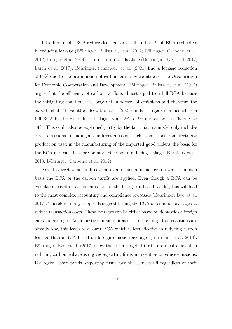Introduction of a BCA reduces leakage across all studies. A full BCA is effective in reducing leakage (Böhringer, Balistreri, et al. 2012; Böhringer, Carbone, et al. [2012;](#page-67-5) [Branger et al. 2014\)](#page-67-0), so are carbon tariffs alone (Böhringer, Bye, et al. 2017; [Larch et al. 2017\)](#page-73-4). Böhringer, Schneider, et al.  $(2021)$  find a leakage reduction of 69% due to the introduction of carbon tariffs by countries of the Organisation for Economic Co-operation and Development. Böhringer, Balistreri, et al. (2012) argue that the efficiency of carbon tariffs is almost equal to a full BCA because the mitigating coalitions are large net importers of emissions and therefore the export rebates have little effect. Mörsdorf (2021) finds a larger difference where a full BCA by the EU reduces leakage from 22% to 7% and carbon tariffs only to 14%. This could also be explained partly by the fact that his model only includes direct emissions. Including also indirect emissions such as emissions from electricity production used in the manufacturing of the imported good widens the basis for the BCA and can therefore be more effective in reducing leakage [\(Burniaux et al.](#page-68-2) [2013;](#page-68-2) Böhringer, Carbone, et al. 2012).

Next to direct versus indirect emission inclusion, it matters on which emission basis the BCA or the carbon tariffs are applied. Even though a BCA can be calculated based on actual emissions of the firm (firm-based tariffs), this will lead to the most complex accounting and compliance processes (Böhringer, Bye, et al. [2017\)](#page-67-6). Therefore, many proposals suggest basing the BCA on emission averages to reduce transaction costs. These averages can be either based on domestic or foreign emission averages. As domestic emission intensities in the mitigation coalitions are already low, this leads to a lower BCA which is less effective in reducing carbon leakage than a BCA based on foreign emission averages [\(Burniaux et al. 2013\)](#page-68-2). Böhringer, Bye, et al. (2017) show that firm-targeted tariffs are most efficient in reducing carbon leakage as it gives exporting firms an incentive to reduce emissions. For region-based tariffs, exporting firms face the same tariff regardless of their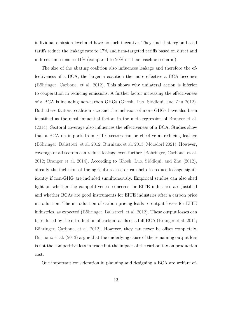individual emission level and have no such incentive. They find that region-based tariffs reduce the leakage rate to 17% and firm-targeted tariffs based on direct and indirect emissions to 11% (compared to 20% in their baseline scenario).

The size of the abating coalition also influences leakage and therefore the effectiveness of a BCA, the larger a coalition the more effective a BCA becomes (Böhringer, Carbone, et al. 2012). This shows why unilateral action is inferior to cooperation in reducing emissions. A further factor increasing the effectiveness of a BCA is including non-carbon GHGs [\(Ghosh, Luo, Siddiqui, and Zhu 2012\)](#page-70-2). Both these factors, coalition size and the inclusion of more GHGs have also been identified as the most influential factors in the meta-regression of [Branger et al.](#page-67-0) [\(2014\).](#page-67-0) Sectoral coverage also influences the effectiveness of a BCA. Studies show that a BCA on imports from EITE sectors can be effective at reducing leakage (Böhringer, Balistreri, et al. 2012; [Burniaux et al. 2013;](#page-68-2) Mörsdorf 2021). However, coverage of all sectors can reduce leakage even further (Böhringer, Carbone, et al. [2012;](#page-67-5) [Branger et al. 2014\)](#page-67-0). According to [Ghosh, Luo, Siddiqui, and Zhu \(2012\),](#page-70-2) already the inclusion of the agricultural sector can help to reduce leakage significantly if non-GHG are included simultaneously. Empirical studies can also shed light on whether the competitiveness concerns for EITE industries are justified and whether BCAs are good instruments for EITE industries after a carbon price introduction. The introduction of carbon pricing leads to output losses for EITE industries, as expected (Böhringer, Balistreri, et al. 2012). These output losses can be reduced by the introduction of carbon tariffs or a full BCA [\(Branger et al. 2014;](#page-67-0) Böhringer, Carbone, et al. 2012). However, they can never be offset completely. [Burniaux et al. \(2013\)](#page-68-2) argue that the underlying cause of the remaining output loss is not the competitive loss in trade but the impact of the carbon tax on production cost.

One important consideration in planning and designing a BCA are welfare ef-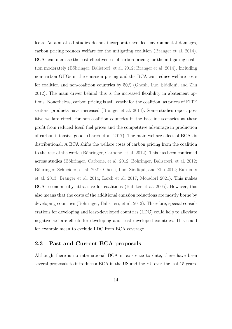fects. As almost all studies do not incorporate avoided environmental damages, carbon pricing reduces welfare for the mitigating coalition [\(Branger et al. 2014\)](#page-67-0). BCAs can increase the cost-effectiveness of carbon pricing for the mitigating coali-tion moderately (Böhringer, Balistreri, et al. 2012; [Branger et al. 2014\)](#page-67-0). Including non-carbon GHGs in the emission pricing and the BCA can reduce welfare costs for coalition and non-coalition countries by 50% [\(Ghosh, Luo, Siddiqui, and Zhu](#page-70-2) [2012\)](#page-70-2). The main driver behind this is the increased flexibility in abatement options. Nonetheless, carbon pricing is still costly for the coalition, as prices of EITE sectors' products have increased [\(Branger et al. 2014\)](#page-67-0). Some studies report positive welfare effects for non-coalition countries in the baseline scenarios as these profit from reduced fossil fuel prices and the competitive advantage in production of carbon-intensive goods [\(Larch et al. 2017\)](#page-73-4). The main welfare effect of BCAs is distributional: A BCA shifts the welfare costs of carbon pricing from the coalition to the rest of the world (Böhringer, Carbone, et al. 2012). This has been confirmed across studies (Böhringer, Carbone, et al. 2012; Böhringer, Balistreri, et al. 2012; Böhringer, Schneider, et al. 2021; [Ghosh, Luo, Siddiqui, and Zhu 2012;](#page-70-2) [Burniaux](#page-68-2) [et al. 2013;](#page-68-2) [Branger et al. 2014;](#page-67-0) [Larch et al. 2017;](#page-73-4) Mörsdorf 2021). This makes BCAs economically attractive for coalitions [\(Babiker et al. 2005\)](#page-66-4). However, this also means that the costs of the additional emission reductions are mostly borne by developing countries (Böhringer, Balistreri, et al. 2012). Therefore, special considerations for developing and least-developed countries (LDC) could help to alleviate negative welfare effects for developing and least developed countries. This could for example mean to exclude LDC from BCA coverage.

#### <span id="page-18-0"></span>2.3 Past and Current BCA proposals

Although there is no international BCA in existence to date, there have been several proposals to introduce a BCA in the US and the EU over the last 15 years.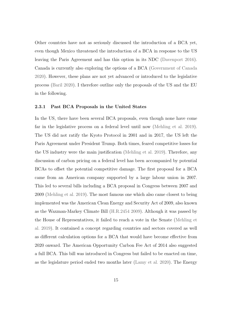Other countries have not as seriously discussed the introduction of a BCA yet, even though Mexico threatened the introduction of a BCA in response to the US leaving the Paris Agreement and has this option in its NDC [\(Davenport 2016\)](#page-68-3). Canada is currently also exploring the options of a BCA [\(Government of Canada](#page-71-0) [2020\)](#page-71-0). However, these plans are not yet advanced or introduced to the legislative process [\(Baril 2020\)](#page-66-5). I therefore outline only the proposals of the US and the EU in the following.

#### <span id="page-19-0"></span>2.3.1 Past BCA Proposals in the United States

In the US, there have been several BCA proposals, even though none have come far in the legislative process on a federal level until now [\(Mehling et al. 2019\)](#page-74-0). The US did not ratify the Kyoto Protocol in 2001 and in 2017, the US left the Paris Agreement under President Trump. Both times, feared competitive losses for the US industry were the main justification [\(Mehling et al. 2019\)](#page-74-0). Therefore, any discussion of carbon pricing on a federal level has been accompanied by potential BCAs to offset the potential competitive damage. The first proposal for a BCA came from an American company supported by a large labour union in 2007. This led to several bills including a BCA proposal in Congress between 2007 and 2009 [\(Mehling et al. 2019\)](#page-74-0). The most famous one which also came closest to being implemented was the American Clean Energy and Security Act of 2009, also known as the Waxman-Markey Climate Bill [\(H.R.2454 2009\)](#page-71-1). Although it was passed by the House of Representatives, it failed to reach a vote in the Senate [\(Mehling et](#page-74-0) [al. 2019\)](#page-74-0). It contained a concept regarding countries and sectors covered as well as different calculation options for a BCA that would have become effective from 2020 onward. The American Opportunity Carbon Fee Act of 2014 also suggested a full BCA. This bill was introduced in Congress but failed to be enacted on time, as the legislature period ended two months later [\(Lamy et al. 2020\)](#page-73-2). The Energy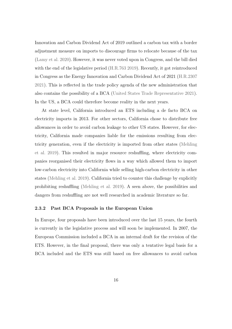Innovation and Carbon Dividend Act of 2019 outlined a carbon tax with a border adjustment measure on imports to discourage firms to relocate because of the tax [\(Lamy et al. 2020\)](#page-73-2). However, it was never voted upon in Congress, and the bill died with the end of the legislative period [\(H.R.763 2019\)](#page-71-2). Recently, it got reintroduced in Congress as the Energy Innovation and Carbon Dividend Act of 2021 [\(H.R.2307](#page-71-3) [2021\)](#page-71-3). This is reflected in the trade policy agenda of the new administration that also contains the possibility of a BCA [\(United States Trade Representative 2021\)](#page-77-4). In the US, a BCA could therefore become reality in the next years.

At state level, California introduced an ETS including a de facto BCA on electricity imports in 2013. For other sectors, California chose to distribute free allowances in order to avoid carbon leakage to other US states. However, for electricity, California made companies liable for the emissions resulting from electricity generation, even if the electricity is imported from other states [\(Mehling](#page-74-0) [et al. 2019\)](#page-74-0). This resulted in major resource reshuffling, where electricity companies reorganised their electricity flows in a way which allowed them to import low-carbon electricity into California while selling high-carbon electricity in other states [\(Mehling et al. 2019\)](#page-74-0). California tried to counter this challenge by explicitly prohibiting reshuffling [\(Mehling et al. 2019\)](#page-74-0). A seen above, the possibilities and dangers from reshuffling are not well researched in academic literature so far.

#### <span id="page-20-0"></span>2.3.2 Past BCA Proposals in the European Union

In Europe, four proposals have been introduced over the last 15 years, the fourth is currently in the legislative process and will soon be implemented. In 2007, the European Commission included a BCA in an internal draft for the revision of the ETS. However, in the final proposal, there was only a tentative legal basis for a BCA included and the ETS was still based on free allowances to avoid carbon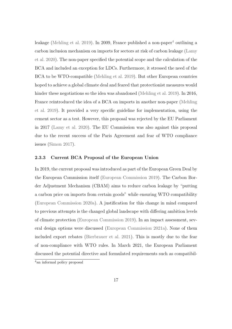leakage [\(Mehling et al. 2019\)](#page-74-0). In 2009, France published a non-paper<sup>[4](#page-21-1)</sup> outlining a carbon inclusion mechanism on imports for sectors at risk of carbon leakage [\(Lamy](#page-73-2) [et al. 2020\)](#page-73-2). The non-paper specified the potential scope and the calculation of the BCA and included an exception for LDCs. Furthermore, it stressed the need of the BCA to be WTO-compatible [\(Mehling et al. 2019\)](#page-74-0). But other European countries hoped to achieve a global climate deal and feared that protectionist measures would hinder these negotiations so the idea was abandoned [\(Mehling et al. 2019\)](#page-74-0). In 2016, France reintroduced the idea of a BCA on imports in another non-paper [\(Mehling](#page-74-0) [et al. 2019\)](#page-74-0). It provided a very specific guideline for implementation, using the cement sector as a test. However, this proposal was rejected by the EU Parliament in 2017 [\(Lamy et al. 2020\)](#page-73-2). The EU Commission was also against this proposal due to the recent success of the Paris Agreement and fear of WTO compliance issues [\(Simon 2017\)](#page-76-4).

#### <span id="page-21-0"></span>2.3.3 Current BCA Proposal of the European Union

In 2019, the current proposal was introduced as part of the European Green Deal by the European Commission itself [\(European Commission 2019\)](#page-69-0). The Carbon Border Adjustment Mechanism (CBAM) aims to reduce carbon leakage by "putting a carbon price on imports from certain goods" while ensuring WTO compatibility [\(European Commission 2020a\)](#page-69-1). A justification for this change in mind compared to previous attempts is the changed global landscape with differing ambition levels of climate protection [\(European Commission 2019\)](#page-69-0). In an impact assessment, several design options were discussed [\(European Commission 2021a\)](#page-69-2). None of them included export rebates [\(Bierbrauer et al. 2021\)](#page-66-6). This is mostly due to the fear of non-compliance with WTO rules. In March 2021, the European Parliament discussed the potential directive and formulated requirements such as compatibil-

<span id="page-21-1"></span><sup>4</sup>an informal policy proposal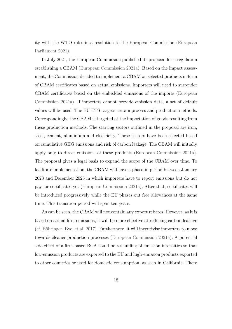ity with the WTO rules in a resolution to the European Commission [\(European](#page-70-3) [Parliament 2021\)](#page-70-3).

In July 2021, the European Commission published its proposal for a regulation establishing a CBAM [\(European Commission 2021a\)](#page-69-2). Based on the impact assessment, the Commission decided to implement a CBAM on selected products in form of CBAM certificates based on actual emissions. Importers will need to surrender CBAM certificates based on the embedded emissions of the imports [\(European](#page-69-2) [Commission 2021a\)](#page-69-2). If importers cannot provide emission data, a set of default values will be used. The EU ETS targets certain process and production methods. Correspondingly, the CBAM is targeted at the importation of goods resulting from these production methods. The starting sectors outlined in the proposal are iron, steel, cement, aluminium and electricity. These sectors have been selected based on cumulative GHG emissions and risk of carbon leakage. The CBAM will initially apply only to direct emissions of these products [\(European Commission 2021a\)](#page-69-2). The proposal gives a legal basis to expand the scope of the CBAM over time. To facilitate implementation, the CBAM will have a phase-in period between January 2023 and December 2025 in which importers have to report emissions but do not pay for certificates yet [\(European Commission 2021a\)](#page-69-2). After that, certificates will be introduced progressively while the EU phases out free allowances at the same time. This transition period will span ten years.

As can be seen, the CBAM will not contain any export rebates. However, as it is based on actual firm emissions, it will be more effective at reducing carbon leakage  $(cf. Böhringer, Bye, et al. 2017)$ . Furthermore, it will incentivise importers to move towards cleaner production processes [\(European Commission 2021a\)](#page-69-2). A potential side-effect of a firm-based BCA could be reshuffling of emission intensities so that low-emission products are exported to the EU and high-emission products exported to other countries or used for domestic consumption, as seen in California. There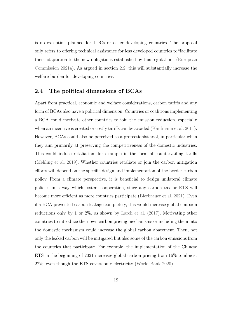is no exception planned for LDCs or other developing countries. The proposal only refers to offering technical assistance for less developed countries to"facilitate their adaptation to the new obligations established by this regulation" [\(European](#page-69-2) [Commission 2021a\)](#page-69-2). As argued in section [2.2,](#page-13-0) this will substantially increase the welfare burden for developing countries.

#### <span id="page-23-0"></span>2.4 The political dimensions of BCAs

Apart from practical, economic and welfare considerations, carbon tariffs and any form of BCAs also have a political dimension. Countries or coalitions implementing a BCA could motivate other countries to join the emission reduction, especially when an incentive is created or costly tariffs can be avoided [\(Kaufmann et al. 2011\)](#page-73-6). However, BCAs could also be perceived as a protectionist tool, in particular when they aim primarily at preserving the competitiveness of the domestic industries. This could induce retaliation, for example in the form of countervailing tariffs [\(Mehling et al. 2019\)](#page-74-0). Whether countries retaliate or join the carbon mitigation efforts will depend on the specific design and implementation of the border carbon policy. From a climate perspective, it is beneficial to design unilateral climate policies in a way which fosters cooperation, since any carbon tax or ETS will become more efficient as more countries participate [\(Bierbrauer et al. 2021\)](#page-66-6). Even if a BCA prevented carbon leakage completely, this would increase global emission reductions only by 1 or 2%, as shown by [Larch et al. \(2017\).](#page-73-4) Motivating other countries to introduce their own carbon pricing mechanisms or including them into the domestic mechanism could increase the global carbon abatement. Then, not only the leaked carbon will be mitigated but also some of the carbon emissions from the countries that participate. For example, the implementation of the Chinese ETS in the beginning of 2021 increases global carbon pricing from 16% to almost 22%, even though the ETS covers only electricity [\(World Bank 2020\)](#page-77-5).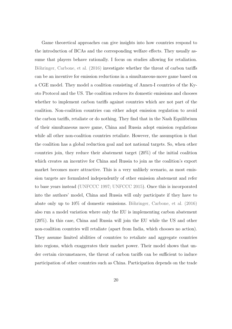Game theoretical approaches can give insights into how countries respond to the introduction of BCAs and the corresponding welfare effects. They usually assume that players behave rationally. I focus on studies allowing for retaliation. Böhringer, Carbone, et al. (2016) investigate whether the threat of carbon tariffs can be an incentive for emission reductions in a simultaneous-move game based on a CGE model. They model a coalition consisting of Annex-I countries of the Kyoto Protocol and the US. The coalition reduces its domestic emissions and chooses whether to implement carbon tariffs against countries which are not part of the coalition. Non-coalition countries can either adopt emission regulation to avoid the carbon tariffs, retaliate or do nothing. They find that in the Nash Equilibrium of their simultaneous move game, China and Russia adopt emission regulations while all other non-coalition countries retaliate. However, the assumption is that the coalition has a global reduction goal and not national targets. So, when other countries join, they reduce their abatement target (20%) of the initial coalition which creates an incentive for China and Russia to join as the coalition's export market becomes more attractive. This is a very unlikely scenario, as most emission targets are formulated independently of other emission abatement and refer to base years instead [\(UNFCCC 1997;](#page-76-3) [UNFCCC 2015\)](#page-77-0). Once this is incorporated into the authors' model, China and Russia will only participate if they have to abate only up to  $10\%$  of domestic emissions. Böhringer, Carbone, et al. (2016) also run a model variation where only the EU is implementing carbon abatement (20%). In this case, China and Russia will join the EU while the US and other non-coalition countries will retaliate (apart from India, which chooses no action). They assume limited abilities of countries to retaliate and aggregate countries into regions, which exaggerates their market power. Their model shows that under certain circumstances, the threat of carbon tariffs can be sufficient to induce participation of other countries such as China. Participation depends on the trade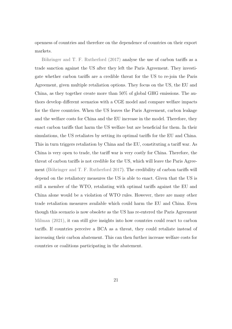openness of countries and therefore on the dependence of countries on their export markets.

Böhringer and T. F. Rutherford  $(2017)$  analyse the use of carbon tariffs as a trade sanction against the US after they left the Paris Agreement. They investigate whether carbon tariffs are a credible threat for the US to re-join the Paris Agreement, given multiple retaliation options. They focus on the US, the EU and China, as they together create more than 50% of global GHG emissions. The authors develop different scenarios with a CGE model and compare welfare impacts for the three countries. When the US leaves the Paris Agreement, carbon leakage and the welfare costs for China and the EU increase in the model. Therefore, they enact carbon tariffs that harm the US welfare but are beneficial for them. In their simulations, the US retaliates by setting its optimal tariffs for the EU and China. This in turn triggers retaliation by China and the EU, constituting a tariff war. As China is very open to trade, the tariff war is very costly for China. Therefore, the threat of carbon tariffs is not credible for the US, which will leave the Paris Agreement (Böhringer and T. F. Rutherford 2017). The credibility of carbon tariffs will depend on the retaliatory measures the US is able to enact. Given that the US is still a member of the WTO, retaliating with optimal tariffs against the EU and China alone would be a violation of WTO rules. However, there are many other trade retaliation measures available which could harm the EU and China. Even though this scenario is now obsolete as the US has re-entered the Paris Agreement [Milman \(2021\),](#page-74-3) it can still give insights into how countries could react to carbon tariffs. If countries perceive a BCA as a threat, they could retaliate instead of increasing their carbon abatement. This can then further increase welfare costs for countries or coalitions participating in the abatement.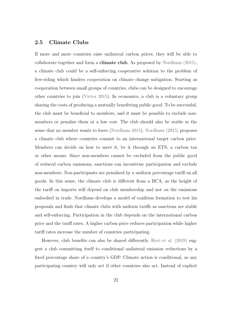#### <span id="page-26-0"></span>2.5 Climate Clubs

If more and more countries raise unilateral carbon prices, they will be able to collaborate together and form a climate club. As proposed by [Nordhaus \(2015\),](#page-75-2) a climate club could be a self-enforcing cooperative solution to the problem of free-riding which hinders cooperation on climate change mitigation. Starting as cooperation between small groups of countries, clubs can be designed to encourage other countries to join [\(Victor 2015\)](#page-77-6). In economics, a club is a voluntary group sharing the costs of producing a mutually benefitting public good. To be successful, the club must be beneficial to members, and it must be possible to exclude nonmembers or penalise them at a low cost. The club should also be stable in the sense that no member wants to leave [\(Nordhaus 2015\)](#page-75-2). [Nordhaus \(2015\)](#page-75-2) proposes a climate club where countries commit to an international target carbon price. Members can decide on how to meet it, be it through an ETS, a carbon tax or other means. Since non-members cannot be excluded from the public good of reduced carbon emissions, sanctions can incentivise participation and exclude non-members. Non-participants are penalised by a uniform percentage tariff on all goods. In this sense, the climate club is different from a BCA, as the height of the tariff on imports will depend on club membership and not on the emissions embodied in trade. Nordhaus develops a model of coalition formation to test his proposals and finds that climate clubs with uniform tariffs as sanctions are stable and self-enforcing. Participation in the club depends on the international carbon price and the tariff rates. A higher carbon price reduces participation while higher tariff rates increase the number of countries participating.

However, club benefits can also be shared differently. [Hovi et al. \(2019\)](#page-71-4) suggest a club committing itself to conditional unilateral emission reductions by a fixed percentage share of a country's GDP. Climate action is conditional, as any participating country will only act if other countries also act. Instead of explicit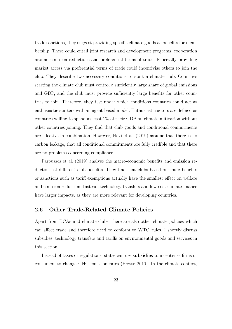trade sanctions, they suggest providing specific climate goods as benefits for membership. These could entail joint research and development programs, cooperation around emission reductions and preferential terms of trade. Especially providing market access via preferential terms of trade could incentivise others to join the club. They describe two necessary conditions to start a climate club: Countries starting the climate club must control a sufficiently large share of global emissions and GDP, and the club must provide sufficiently large benefits for other countries to join. Therefore, they test under which conditions countries could act as enthusiastic starters with an agent-based model. Enthusiastic actors are defined as countries willing to spend at least 1% of their GDP on climate mitigation without other countries joining. They find that club goods and conditional commitments are effective in combination. However, [Hovi et al. \(2019\)](#page-71-4) assume that there is no carbon leakage, that all conditional commitments are fully credible and that there are no problems concerning compliance.

[Paroussos et al. \(2019\)](#page-75-3) analyse the macro-economic benefits and emission reductions of different club benefits. They find that clubs based on trade benefits or sanctions such as tariff exemptions actually have the smallest effect on welfare and emission reduction. Instead, technology transfers and low-cost climate finance have larger impacts, as they are more relevant for developing countries.

#### <span id="page-27-0"></span>2.6 Other Trade-Related Climate Policies

Apart from BCAs and climate clubs, there are also other climate policies which can affect trade and therefore need to conform to WTO rules. I shortly discuss subsidies, technology transfers and tariffs on environmental goods and services in this section.

Instead of taxes or regulations, states can use subsidies to incentivise firms or consumers to change GHG emission rates [\(Howse 2010\)](#page-72-1). In the climate context,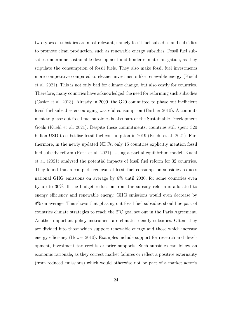two types of subsidies are most relevant, namely fossil fuel subsidies and subsidies to promote clean production, such as renewable energy subsidies. Fossil fuel subsidies undermine sustainable development and hinder climate mitigation, as they stipulate the consumption of fossil fuels. They also make fossil fuel investments more competitive compared to cleaner investments like renewable energy [\(Kuehl](#page-73-7) [et al. 2021\)](#page-73-7). This is not only bad for climate change, but also costly for countries. Therefore, many countries have acknowledged the need for reforming such subsidies [\(Casier et al. 2013\)](#page-68-4). Already in 2009, the G20 committed to phase out inefficient fossil fuel subsidies encouraging wasteful consumption [\(Barbier 2010\)](#page-66-7). A commitment to phase out fossil fuel subsidies is also part of the Sustainable Development Goals [\(Kuehl et al. 2021\)](#page-73-7). Despite these commitments, countries still spent 320 billion USD to subsidise fossil fuel consumption in 2019 [\(Kuehl et al. 2021\)](#page-73-7). Furthermore, in the newly updated NDCs, only 15 countries explicitly mention fossil fuel subsidy reform [\(Roth et al. 2021\)](#page-76-1). Using a partial-equilibrium model, [Kuehl](#page-73-7) [et al. \(2021\)](#page-73-7) analysed the potential impacts of fossil fuel reform for 32 countries. They found that a complete removal of fossil fuel consumption subsidies reduces national GHG emissions on average by 6% until 2030, for some countries even by up to 30%. If the budget reduction from the subsidy reform is allocated to energy efficiency and renewable energy, GHG emissions would even decrease by 9% on average. This shows that phasing out fossil fuel subsidies should be part of countries climate strategies to reach the 2°C goal set out in the Paris Agreement. Another important policy instrument are climate friendly subsidies. Often, they are divided into those which support renewable energy and those which increase energy efficiency [\(Howse 2010\)](#page-72-1). Examples include support for research and development, investment tax credits or price supports. Such subsidies can follow an economic rationale, as they correct market failures or reflect a positive externality (from reduced emissions) which would otherwise not be part of a market actor's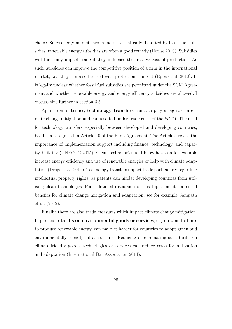choice. Since energy markets are in most cases already distorted by fossil fuel subsidies, renewable energy subsidies are often a good remedy [\(Howse 2010\)](#page-72-1). Subsidies will then only impact trade if they influence the relative cost of production. As such, subsidies can improve the competitive position of a firm in the international market, i.e., they can also be used with protectionist intent [\(Epps et al. 2010\)](#page-69-3). It is legally unclear whether fossil fuel subsidies are permitted under the SCM Agreement and whether renewable energy and energy efficiency subsidies are allowed. I discuss this further in section [3.5.](#page-39-0)

Apart from subsidies, technology transfers can also play a big role in climate change mitigation and can also fall under trade rules of the WTO. The need for technology transfers, especially between developed and developing countries, has been recognised in Article 10 of the Paris Agreement. The Article stresses the importance of implementation support including finance, technology, and capacity building [\(UNFCCC 2015\)](#page-77-0). Clean technologies and know-how can for example increase energy efficiency and use of renewable energies or help with climate adaptation (Dröge et al. 2017). Technology transfers impact trade particularly regarding intellectual property rights, as patents can hinder developing countries from utilising clean technologies. For a detailed discussion of this topic and its potential benefits for climate change mitigation and adaptation, see for example [Sampath](#page-76-5) [et al. \(2012\).](#page-76-5)

Finally, there are also trade measures which impact climate change mitigation. In particular tariffs on environmental goods or services, e.g. on wind turbines to produce renewable energy, can make it harder for countries to adopt green and environmentally-friendly infrastructures. Reducing or eliminating such tariffs on climate-friendly goods, technologies or services can reduce costs for mitigation and adaptation [\(International Bar Association 2014\)](#page-72-2).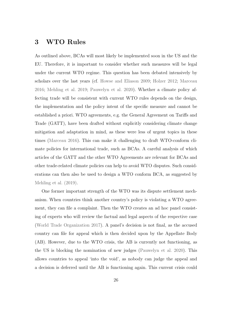### <span id="page-30-0"></span>3 WTO Rules

As outlined above, BCAs will most likely be implemented soon in the US and the EU. Therefore, it is important to consider whether such measures will be legal under the current WTO regime. This question has been debated intensively by scholars over the last years (cf. [Howse and Eliason 2009;](#page-72-3) [Holzer 2012;](#page-71-5) [Marceau](#page-74-4) [2016;](#page-74-4) [Mehling et al. 2019;](#page-74-0) [Pauwelyn et al. 2020\)](#page-75-4). Whether a climate policy affecting trade will be consistent with current WTO rules depends on the design, the implementation and the policy intent of the specific measure and cannot be established a priori. WTO agreements, e.g. the General Agreement on Tariffs and Trade (GATT), have been drafted without explicitly considering climate change mitigation and adaptation in mind, as these were less of urgent topics in these times [\(Marceau 2016\)](#page-74-4). This can make it challenging to draft WTO-conform climate policies for international trade, such as BCAs. A careful analysis of which articles of the GATT and the other WTO Agreements are relevant for BCAs and other trade-related climate policies can help to avoid WTO disputes. Such considerations can then also be used to design a WTO conform BCA, as suggested by [Mehling et al. \(2019\).](#page-74-0)

One former important strength of the WTO was its dispute settlement mechanism. When countries think another country's policy is violating a WTO agreement, they can file a complaint. Then the WTO creates an ad hoc panel consisting of experts who will review the factual and legal aspects of the respective case [\(World Trade Organization 2017\)](#page-77-7). A panel's decision is not final, as the accused country can file for appeal which is then decided upon by the Appellate Body (AB). However, due to the WTO crisis, the AB is currently not functioning, as the US is blocking the nomination of new judges [\(Pauwelyn et al. 2020\)](#page-75-4). This allows countries to appeal 'into the void', as nobody can judge the appeal and a decision is deferred until the AB is functioning again. This current crisis could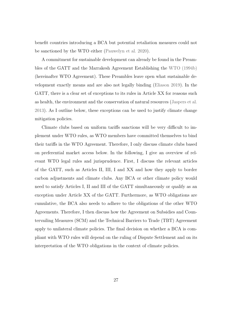benefit countries introducing a BCA but potential retaliation measures could not be sanctioned by the WTO either [\(Pauwelyn et al. 2020\)](#page-75-4).

A commitment for sustainable development can already be found in the Preambles of the GATT and the Marrakesh Agreement Establishing the [WTO \(1994b\)](#page-78-1) (hereinafter WTO Agreement). These Preambles leave open what sustainable development exactly means and are also not legally binding [\(Eliason 2019\)](#page-69-4). In the GATT, there is a clear set of exceptions to its rules in Article XX for reasons such as health, the environment and the conservation of natural resources [\(Jaspers et al.](#page-73-8) [2013\)](#page-73-8). As I outline below, these exceptions can be used to justify climate change mitigation policies.

Climate clubs based on uniform tariffs sanctions will be very difficult to implement under WTO rules, as WTO members have committed themselves to bind their tariffs in the WTO Agreement. Therefore, I only discuss climate clubs based on preferential market access below. In the following, I give an overview of relevant WTO legal rules and jurisprudence. First, I discuss the relevant articles of the GATT, such as Articles II, III, I and XX and how they apply to border carbon adjustments and climate clubs. Any BCA or other climate policy would need to satisfy Articles I, II and III of the GATT simultaneously or qualify as an exception under Article XX of the GATT. Furthermore, as WTO obligations are cumulative, the BCA also needs to adhere to the obligations of the other WTO Agreements. Therefore, I then discuss how the Agreement on Subsidies and Countervailing Measures (SCM) and the Technical Barriers to Trade (TBT) Agreement apply to unilateral climate policies. The final decision on whether a BCA is compliant with WTO rules will depend on the ruling of Dispute Settlement and on its interpretation of the WTO obligations in the context of climate policies.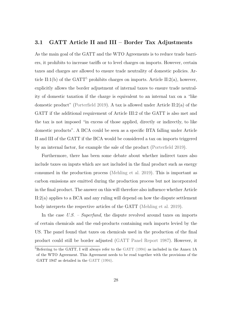#### <span id="page-32-0"></span>3.1 GATT Article II and III – Border Tax Adjustments

As the main goal of the GATT and the WTO Agreements is to reduce trade barriers, it prohibits to increase tariffs or to level charges on imports. However, certain taxes and charges are allowed to ensure trade neutrality of domestic policies. Ar-ticle II:1(b) of the GATT<sup>[5](#page-32-1)</sup> prohibits charges on imports. Article II:2(a), however, explicitly allows the border adjustment of internal taxes to ensure trade neutrality of domestic taxation if the charge is equivalent to an internal tax on a "like domestic product" [\(Porterfield 2019\)](#page-76-6). A tax is allowed under Article II:2(a) of the GATT if the additional requirement of Article III:2 of the GATT is also met and the tax is not imposed "in excess of those applied, directly or indirectly, to like domestic products". A BCA could be seen as a specific BTA falling under Article II and III of the GATT if the BCA would be considered a tax on imports triggered by an internal factor, for example the sale of the product [\(Porterfield 2019\)](#page-76-6).

Furthermore, there has been some debate about whether indirect taxes also include taxes on inputs which are not included in the final product such as energy consumed in the production process [\(Mehling et al. 2019\)](#page-74-0). This is important as carbon emissions are emitted during the production process but not incorporated in the final product. The answer on this will therefore also influence whether Article II:2(a) applies to a BCA and any ruling will depend on how the dispute settlement body interprets the respective articles of the GATT [\(Mehling et al. 2019\)](#page-74-0).

In the case  $U.S.$  – Superfund, the dispute revolved around taxes on imports of certain chemicals and the end-products containing such imports levied by the US. The panel found that taxes on chemicals used in the production of the final product could still be border adjusted [\(GATT Panel Report 1987\)](#page-70-4). However, it

<span id="page-32-1"></span> ${}^{5}$ Referring to the GATT, I will always refer to the [GATT \(1994\)](#page-70-5) as included in the Annex 1A of the WTO Agreement. This Agreement needs to be read together with the provisions of the GATT 1947 as detailed in the [GATT \(1994\).](#page-70-5)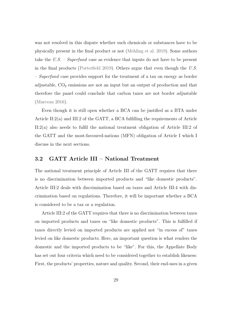was not resolved in this dispute whether such chemicals or substances have to be physically present in the final product or not [\(Mehling et al. 2019\)](#page-74-0). Some authors take the U.S. – Superfund case as evidence that inputs do not have to be present in the final products [\(Porterfield 2019\)](#page-76-6). Others argue that even though the U.S. – Superfund case provides support for the treatment of a tax on energy as border adjustable,  $CO<sub>2</sub>$  emissions are not an input but an output of production and that therefore the panel could conclude that carbon taxes are not border adjustable [\(Marceau 2016\)](#page-74-4).

Even though it is still open whether a BCA can be justified as a BTA under Article II:2(a) and III:2 of the GATT, a BCA fulfilling the requirements of Article II:2(a) also needs to fulfil the national treatment obligation of Article III:2 of the GATT and the most-favoured-nations (MFN) obligation of Article I which I discuss in the next sections.

#### <span id="page-33-0"></span>3.2 GATT Article III – National Treatment

The national treatment principle of Article III of the GATT requires that there is no discrimination between imported products and "like domestic products". Article III:2 deals with discrimination based on taxes and Article III:4 with discrimination based on regulations. Therefore, it will be important whether a BCA is considered to be a tax or a regulation.

Article III:2 of the GATT requires that there is no discrimination between taxes on imported products and taxes on "like domestic products". This is fulfilled if taxes directly levied on imported products are applied not "in excess of" taxes levied on like domestic products. Here, an important question is what renders the domestic and the imported products to be "like". For this, the Appellate Body has set out four criteria which need to be considered together to establish likeness: First, the products' properties, nature and quality. Second, their end-uses in a given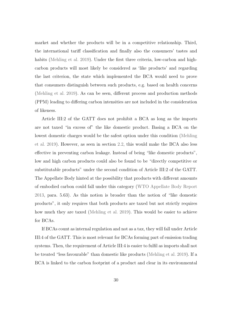market and whether the products will be in a competitive relationship. Third, the international tariff classification and finally also the consumers' tastes and habits [\(Mehling et al. 2019\)](#page-74-0). Under the first three criteria, low-carbon and highcarbon products will most likely be considered as 'like products' and regarding the last criterion, the state which implemented the BCA would need to prove that consumers distinguish between such products, e.g. based on health concerns [\(Mehling et al. 2019\)](#page-74-0). As can be seen, different process and production methods (PPM) leading to differing carbon intensities are not included in the consideration of likeness.

Article III:2 of the GATT does not prohibit a BCA as long as the imports are not taxed "in excess of" the like domestic product. Basing a BCA on the lowest domestic charges would be the safest option under this condition [\(Mehling](#page-74-0) [et al. 2019\)](#page-74-0). However, as seen in section [2.2,](#page-13-0) this would make the BCA also less effective in preventing carbon leakage. Instead of being "like domestic products", low and high carbon products could also be found to be "directly competitive or substitutable products" under the second condition of Article III:2 of the GATT. The Appellate Body hinted at the possibility that products with different amounts of embodied carbon could fall under this category [\(WTO Appellate Body Report](#page-78-2) [2013,](#page-78-2) para. 5.63). As this notion is broader than the notion of "like domestic products", it only requires that both products are taxed but not strictly requires how much they are taxed [\(Mehling et al. 2019\)](#page-74-0). This would be easier to achieve for BCAs.

If BCAs count as internal regulation and not as a tax, they will fall under Article III:4 of the GATT. This is most relevant for BCAs forming part of emission trading systems. Then, the requirement of Article III:4 is easier to fulfil as imports shall not be treated "less favourable" than domestic like products [\(Mehling et al. 2019\)](#page-74-0). If a BCA is linked to the carbon footprint of a product and clear in its environmental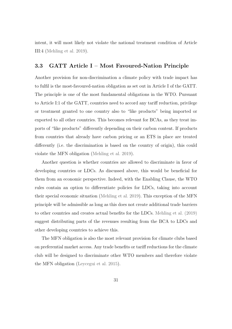intent, it will most likely not violate the national treatment condition of Article III:4 [\(Mehling et al. 2019\)](#page-74-0).

#### <span id="page-35-0"></span>3.3 GATT Article I – Most Favoured-Nation Principle

Another provision for non-discrimination a climate policy with trade impact has to fulfil is the most-favoured-nation obligation as set out in Article I of the GATT. The principle is one of the most fundamental obligations in the WTO. Pursuant to Article I:1 of the GATT, countries need to accord any tariff reduction, privilege or treatment granted to one country also to "like products" being imported or exported to all other countries. This becomes relevant for BCAs, as they treat imports of "like products" differently depending on their carbon content. If products from countries that already have carbon pricing or an ETS in place are treated differently (i.e. the discrimination is based on the country of origin), this could violate the MFN obligation [\(Mehling et al. 2019\)](#page-74-0).

Another question is whether countries are allowed to discriminate in favor of developing countries or LDCs. As discussed above, this would be beneficial for them from an economic perspective. Indeed, with the Enabling Clause, the WTO rules contain an option to differentiate policies for LDCs, taking into account their special economic situation [\(Mehling et al. 2019\)](#page-74-0). This exception of the MFN principle will be admissible as long as this does not create additional trade barriers to other countries and creates actual benefits for the LDCs. [Mehling et al. \(2019\)](#page-74-0) suggest distributing parts of the revenues resulting from the BCA to LDCs and other developing countries to achieve this.

The MFN obligation is also the most relevant provision for climate clubs based on preferential market access. Any trade benefits or tariff reductions for the climate club will be designed to discriminate other WTO members and therefore violate the MFN obligation [\(Leycegui et al. 2015\)](#page-74-5).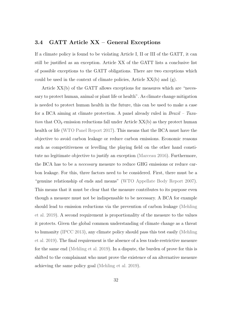## <span id="page-36-0"></span>3.4 GATT Article XX – General Exceptions

If a climate policy is found to be violating Article I, II or III of the GATT, it can still be justified as an exception. Article XX of the GATT lists a conclusive list of possible exceptions to the GATT obligations. There are two exceptions which could be used in the context of climate policies, Article  $XX(b)$  and  $(g)$ .

Article XX(b) of the GATT allows exceptions for measures which are "necessary to protect human, animal or plant life or health". As climate change mitigation is needed to protect human health in the future, this can be used to make a case for a BCA aiming at climate protection. A panel already ruled in Brazil – Taxation that  $CO<sub>2</sub>$  emission reductions fall under Article XX(b) as they protect human health or life [\(WTO Panel Report 2017\)](#page-79-0). This means that the BCA must have the objective to avoid carbon leakage or reduce carbon emissions. Economic reasons such as competitiveness or levelling the playing field on the other hand constitute no legitimate objective to justify an exception [\(Marceau 2016\)](#page-74-0). Furthermore, the BCA has to be a necessary measure to reduce GHG emissions or reduce carbon leakage. For this, three factors need to be considered. First, there must be a "genuine relationship of ends and means" [\(WTO Appellate Body Report 2007\)](#page-78-0). This means that it must be clear that the measure contributes to its purpose even though a measure must not be indispensable to be necessary. A BCA for example should lead to emission reductions via the prevention of carbon leakage [\(Mehling](#page-74-1) [et al. 2019\)](#page-74-1). A second requirement is proportionality of the measure to the values it protects. Given the global common understanding of climate change as a threat to humanity [\(IPCC 2013\)](#page-72-0), any climate policy should pass this test easily [\(Mehling](#page-74-1) [et al. 2019\)](#page-74-1). The final requirement is the absence of a less trade-restrictive measure for the same end [\(Mehling et al. 2019\)](#page-74-1). In a dispute, the burden of prove for this is shifted to the complainant who must prove the existence of an alternative measure achieving the same policy goal [\(Mehling et al. 2019\)](#page-74-1).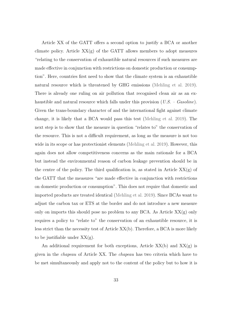Article XX of the GATT offers a second option to justify a BCA or another climate policy. Article  $XX(g)$  of the GATT allows members to adopt measures "relating to the conservation of exhaustible natural resources if such measures are made effective in conjunction with restrictions on domestic production or consumption". Here, countries first need to show that the climate system is an exhaustible natural resource which is threatened by GHG emissions [\(Mehling et al. 2019\)](#page-74-1). There is already one ruling on air pollution that recognised clean air as an exhaustible and natural resource which falls under this provision  $(US. - Gasoline)$ . Given the trans-boundary character of and the international fight against climate change, it is likely that a BCA would pass this test [\(Mehling et al. 2019\)](#page-74-1). The next step is to show that the measure in question "relates to" the conservation of the resource. This is not a difficult requirement, as long as the measure is not too wide in its scope or has protectionist elements [\(Mehling et al. 2019\)](#page-74-1). However, this again does not allow competitiveness concerns as the main rationale for a BCA but instead the environmental reason of carbon leakage prevention should be in the centre of the policy. The third qualification is, as stated in Article  $XX(g)$  of the GATT that the measures "are made effective in conjunction with restrictions on domestic production or consumption". This does not require that domestic and imported products are treated identical [\(Mehling et al. 2019\)](#page-74-1). Since BCAs want to adjust the carbon tax or ETS at the border and do not introduce a new measure only on imports this should pose no problem to any BCA. As Article  $XX(g)$  only requires a policy to "relate to" the conservation of an exhaustible resource, it is less strict than the necessity test of Article XX(b). Therefore, a BCA is more likely to be justifiable under  $XX(g)$ .

An additional requirement for both exceptions, Article  $XX(b)$  and  $XX(g)$  is given in the chapeau of Article XX. The chapeau has two criteria which have to be met simultaneously and apply not to the content of the policy but to how it is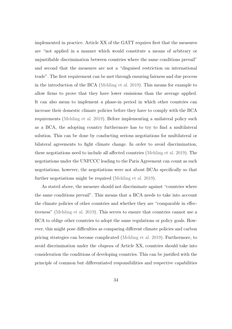implemented in practice. Article XX of the GATT requires first that the measures are "not applied in a manner which would constitute a means of arbitrary or unjustifiable discrimination between countries where the same conditions prevail" and second that the measures are not a "disguised restriction on international trade". The first requirement can be met through ensuring fairness and due process in the introduction of the BCA [\(Mehling et al. 2019\)](#page-74-1). This means for example to allow firms to prove that they have lower emissions than the average applied. It can also mean to implement a phase-in period in which other countries can increase their domestic climate policies before they have to comply with the BCA requirements [\(Mehling et al. 2019\)](#page-74-1). Before implementing a unilateral policy such as a BCA, the adopting country furthermore has to try to find a multilateral solution. This can be done by conducting serious negotiations for multilateral or bilateral agreements to fight climate change. In order to avoid discrimination, these negotiations need to include all affected countries [\(Mehling et al. 2019\)](#page-74-1). The negotiations under the UNFCCC leading to the Paris Agreement can count as such negotiations, however, the negotiations were not about BCAs specifically so that further negotiations might be required [\(Mehling et al. 2019\)](#page-74-1).

As stated above, the measure should not discriminate against "countries where the same conditions prevail". This means that a BCA needs to take into account the climate policies of other countries and whether they are "comparable in effectiveness" [\(Mehling et al. 2019\)](#page-74-1). This serves to ensure that countries cannot use a BCA to oblige other countries to adopt the same regulations or policy goals. However, this might pose difficulties as comparing different climate policies and carbon pricing strategies can become complicated [\(Mehling et al. 2019\)](#page-74-1). Furthermore, to avoid discrimination under the chapeau of Article XX, countries should take into consideration the conditions of developing countries. This can be justified with the principle of common but differentiated responsibilities and respective capabilities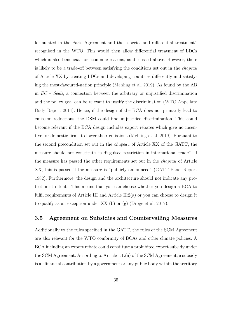formulated in the Paris Agreement and the "special and differential treatment" recognised in the WTO. This would then allow differential treatment of LDCs which is also beneficial for economic reasons, as discussed above. However, there is likely to be a trade-off between satisfying the conditions set out in the chapeau of Article XX by treating LDCs and developing countries differently and satisfying the most-favoured-nation principle [\(Mehling et al. 2019\)](#page-74-1). As found by the AB in  $EC$  – Seals, a connection between the arbitrary or unjustified discrimination and the policy goal can be relevant to justify the discrimination [\(WTO Appellate](#page-78-1) [Body Report 2014\)](#page-78-1). Hence, if the design of the BCA does not primarily lead to emission reductions, the DSM could find unjustified discrimination. This could become relevant if the BCA design includes export rebates which give no incentive for domestic firms to lower their emissions [\(Mehling et al. 2019\)](#page-74-1). Pursuant to the second precondition set out in the chapeau of Article XX of the GATT, the measure should not constitute "a disguised restriction in international trade". If the measure has passed the other requirements set out in the chapeau of Article XX, this is passed if the measure is "publicly announced" [\(GATT Panel Report](#page-70-0) [1982\)](#page-70-0). Furthermore, the design and the architecture should not indicate any protectionist intents. This means that you can choose whether you design a BCA to fulfil requirements of Article III and Article II:2(a) or you can choose to design it to qualify as an exception under XX (b) or  $(g)$  (Dröge et al. 2017).

## <span id="page-39-0"></span>3.5 Agreement on Subsidies and Countervailing Measures

Additionally to the rules specified in the GATT, the rules of the SCM Agreement are also relevant for the WTO conformity of BCAs and other climate policies. A BCA including an export rebate could constitute a prohibited export subsidy under the SCM Agreement. According to Article 1.1.(a) of the SCM Agreement, a subsidy is a "financial contribution by a government or any public body within the territory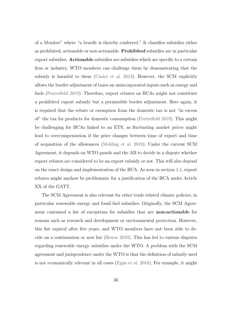of a Member" where "a benefit is thereby conferred." It classifies subsidies either as prohibited, actionable or non-actionable. Prohibited subsidies are in particular export subsidies. Actionable subsidies are subsidies which are specific to a certain firm or industry. WTO members can challenge them by demonstrating that the subsidy is harmful to them [\(Casier et al. 2013\)](#page-68-1). However, the SCM explicitly allows the border adjustment of taxes on unincorporated inputs such as energy and fuels [\(Porterfield 2019\)](#page-76-0). Therefore, export rebates on BCAs might not constitute a prohibited export subsidy but a permissible border adjustment. Here again, it is required that the rebate or exemption from the domestic tax is not "in excess of" the tax for products for domestic consumption [\(Porterfield 2019\)](#page-76-0). This might be challenging for BCAs linked to an ETS, as fluctuating market prices might lead to overcompensation if the price changes between time of export and time of acquisition of the allowances [\(Mehling et al. 2019\)](#page-74-1). Under the current SCM Agreement, it depends on WTO panels and the AB to decide in a dispute whether export rebates are considered to be an export subsidy or not. This will also depend on the exact design and implementation of the BCA. As seen in section [3.4,](#page-36-0) export rebates might anyhow be problematic for a justification of the BCA under Article XX of the GATT.

The SCM Agreement is also relevant for other trade related climate policies, in particular renewable energy and fossil fuel subsidies. Originally, the SCM Agreement contained a list of exceptions for subsidies that are non-actionable for reasons such as research and development or environmental protection. However, this list expired after five years, and WTO members have not been able to decide on a continuation or new list [\(Howse 2010\)](#page-72-1). This has led to various disputes regarding renewable energy subsidies under the WTO. A problem with the SCM agreement and jurisprudence under the WTO is that the definition of subsidy used is not economically relevant in all cases [\(Epps et al. 2010\)](#page-69-0). For example, it might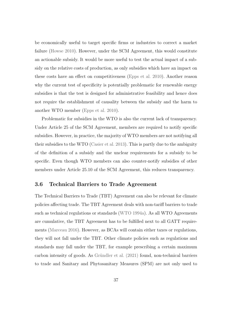be economically useful to target specific firms or industries to correct a market failure [\(Howse 2010\)](#page-72-1). However, under the SCM Agreement, this would constitute an actionable subsidy. It would be more useful to test the actual impact of a subsidy on the relative costs of production, as only subsidies which have an impact on these costs have an effect on competitiveness [\(Epps et al. 2010\)](#page-69-0). Another reason why the current test of specificity is potentially problematic for renewable energy subsidies is that the test is designed for administrative feasibility and hence does not require the establishment of causality between the subsidy and the harm to another WTO member [\(Epps et al. 2010\)](#page-69-0).

Problematic for subsidies in the WTO is also the current lack of transparency. Under Article 25 of the SCM Agreement, members are required to notify specific subsidies. However, in practice, the majority of WTO members are not notifying all their subsidies to the WTO [\(Casier et al. 2013\)](#page-68-1). This is partly due to the ambiguity of the definition of a subsidy and the unclear requirements for a subsidy to be specific. Even though WTO members can also counter-notify subsidies of other members under Article 25.10 of the SCM Agreement, this reduces transparency.

### 3.6 Technical Barriers to Trade Agreement

The Technical Barriers to Trade (TBT) Agreement can also be relevant for climate policies affecting trade. The TBT Agreement deals with non-tariff barriers to trade such as technical regulations or standards [\(WTO 1994a\)](#page-78-2). As all WTO Agreements are cumulative, the TBT Agreement has to be fulfilled next to all GATT requirements [\(Marceau 2016\)](#page-74-0). However, as BCAs will contain either taxes or regulations, they will not fall under the TBT. Other climate policies such as regulations and standards may fall under the TBT, for example prescribing a certain maximum carbon intensity of goods. As Gründler et al.  $(2021)$  found, non-technical barriers to trade and Sanitary and Phytosanitary Measures (SPM) are not only used to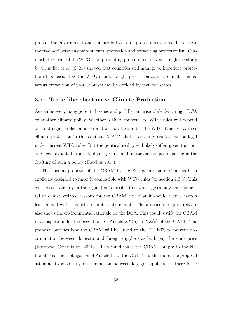protect the environment and climate but also for protectionist aims. This shows the trade-off between environmental protection and preventing protectionism. Currently the focus of the WTO is on preventing protectionism, even though the study by Gründler et al.  $(2021)$  showed that countries still manage to introduce protectionist policies. How the WTO should weight protection against climate change versus prevention of protectionism can be decided by member states.

# 3.7 Trade liberalisation vs Climate Protection

As can be seen, many potential issues and pitfalls can arise while designing a BCA or another climate policy. Whether a BCA conforms to WTO rules will depend on its design, implementation and on how favourable the WTO Panel or AB see climate protection in this context. A BCA that is carefully crafted can be legal under current WTO rules. But the political reality will likely differ, given that not only legal experts but also lobbying groups and politicians are participating in the drafting of such a policy [\(Bacchus 2017\)](#page-66-0).

The current proposal of the CBAM by the European Commission has been explicitly designed to make it compatible with WTO rules (cf. section [2.3.3\)](#page-21-0). This can be seen already in the regulation's justification which gives only environmental or climate-related reasons for the CBAM, i.e., that it should reduce carbon leakage and with this help to protect the climate. The absence of export rebates also shows the environmental rationale for the BCA. This could justify the CBAM in a dispute under the exceptions of Article  $XX(b)$  or  $XX(g)$  of the GATT. The proposal outlines how the CBAM will be linked to the EU ETS to prevent discrimination between domestic and foreign suppliers as both pay the same price [\(European Commission 2021a\)](#page-69-1). This could make the CBAM comply to the National Treatment obligation of Article III of the GATT. Furthermore, the proposal attempts to avoid any discrimination between foreign suppliers, as there is no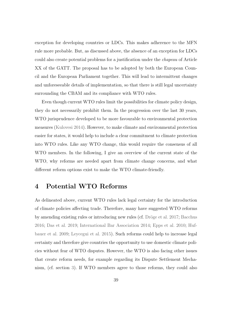exception for developing countries or LDCs. This makes adherence to the MFN rule more probable. But, as discussed above, the absence of an exception for LDCs could also create potential problems for a justification under the chapeau of Article XX of the GATT. The proposal has to be adopted by both the European Council and the European Parliament together. This will lead to intermittent changes and unforeseeable details of implementation, so that there is still legal uncertainty surrounding the CBAM and its compliance with WTO rules.

Even though current WTO rules limit the possibilities for climate policy design, they do not necessarily prohibit them. In the progression over the last 30 years, WTO jurisprudence developed to be more favourable to environmental protection measures [\(Kulovesi 2014\)](#page-73-0). However, to make climate and environmental protection easier for states, it would help to include a clear commitment to climate protection into WTO rules. Like any WTO change, this would require the consensus of all WTO members. In the following, I give an overview of the current state of the WTO, why reforms are needed apart from climate change concerns, and what different reform options exist to make the WTO climate-friendly.

# 4 Potential WTO Reforms

As delineated above, current WTO rules lack legal certainty for the introduction of climate policies affecting trade. Therefore, many have suggested WTO reforms by amending existing rules or introducing new rules (cf. Dröge et al. 2017; [Bacchus](#page-66-1) [2016;](#page-66-1) [Das et al. 2019;](#page-68-2) [International Bar Association 2014;](#page-72-2) [Epps et al. 2010;](#page-69-0) [Huf](#page-72-3)[bauer et al. 2009;](#page-72-3) [Leycegui et al. 2015\)](#page-74-2). Such reforms could help to increase legal certainty and therefore give countries the opportunity to use domestic climate policies without fear of WTO disputes. However, the WTO is also facing other issues that create reform needs, for example regarding its Dispute Settlement Mechanism, (cf. section [3\)](#page-30-0). If WTO members agree to those reforms, they could also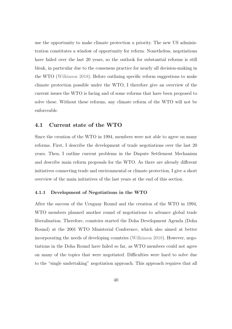use the opportunity to make climate protection a priority. The new US administration constitutes a window of opportunity for reform. Nonetheless, negotiations have failed over the last 20 years, so the outlook for substantial reforms is still bleak, in particular due to the consensus practice for nearly all decision-making in the WTO [\(Wilkinson 2018\)](#page-77-0). Before outlining specific reform suggestions to make climate protection possible under the WTO, I therefore give an overview of the current issues the WTO is facing and of some reforms that have been proposed to solve these. Without these reforms, any climate reform of the WTO will not be enforceable.

## 4.1 Current state of the WTO

Since the creation of the WTO in 1994, members were not able to agree on many reforms. First, I describe the development of trade negotiations over the last 20 years. Then, I outline current problems in the Dispute Settlement Mechanism and describe main reform proposals for the WTO. As there are already different initiatives connecting trade and environmental or climate protection, I give a short overview of the main initiatives of the last years at the end of this section.

#### 4.1.1 Development of Negotiations in the WTO

After the success of the Uruguay Round and the creation of the WTO in 1994, WTO members planned another round of negotiations to advance global trade liberalisation. Therefore, countries started the Doha Development Agenda (Doha Round) at the 2001 WTO Ministerial Conference, which also aimed at better incorporating the needs of developing countries [\(Wilkinson 2018\)](#page-77-0). However, negotiations in the Doha Round have failed so far, as WTO members could not agree on many of the topics that were negotiated. Difficulties were hard to solve due to the "single undertaking" negotiation approach. This approach requires that all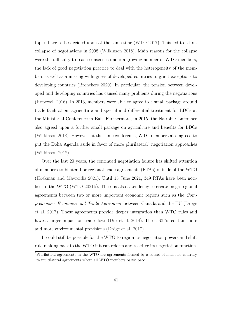topics have to be decided upon at the same time [\(WTO 2017\)](#page-78-3). This led to a first collapse of negotiations in 2008 [\(Wilkinson 2018\)](#page-77-0). Main reasons for the collapse were the difficulty to reach consensus under a growing number of WTO members, the lack of good negotiation practice to deal with the heterogeneity of the members as well as a missing willingness of developed countries to grant exceptions to developing countries [\(Bronckers 2020\)](#page-67-0). In particular, the tension between developed and developing countries has caused many problems during the negotiations [\(Hopewell 2016\)](#page-71-1). In 2013, members were able to agree to a small package around trade facilitation, agriculture and special and differential treatment for LDCs at the Ministerial Conference in Bali. Furthermore, in 2015, the Nairobi Conference also agreed upon a further small package on agriculture and benefits for LDCs [\(Wilkinson 2018\)](#page-77-0). However, at the same conference, WTO members also agreed to put the Doha Agenda aside in favor of more plurilateral<sup>[6](#page-45-0)</sup> negotiation approaches [\(Wilkinson 2018\)](#page-77-0).

Over the last 20 years, the continued negotiation failure has shifted attention of members to bilateral or regional trade agreements (RTAs) outside of the WTO [\(Hoekman and Mavroidis 2021\)](#page-71-2). Until 15 June 2021, 349 RTAs have been notified to the WTO [\(WTO 2021b\)](#page-78-4). There is also a tendency to create mega-regional agreements between two or more important economic regions such as the Comprehensive Economic and Trade Agreement between Canada and the EU (Dröge [et al. 2017\)](#page-68-0). These agreements provide deeper integration than WTO rules and have a larger impact on trade flows (Dür et al. 2014). These RTAs contain more and more environmental provisions (Dröge et al. 2017).

It could still be possible for the WTO to regain its negotiation powers and shift rule-making back to the WTO if it can reform and reactive its negotiation function.

<span id="page-45-0"></span><sup>6</sup>Plurilateral agreements in the WTO are agreements formed by a subset of members contrary to multilateral agreements where all WTO members participate.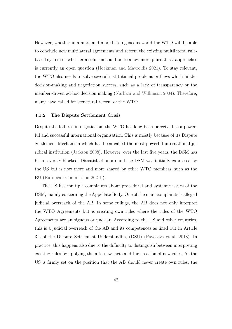However, whether in a more and more heterogeneous world the WTO will be able to conclude new multilateral agreements and reform the existing multilateral rulebased system or whether a solution could be to allow more plurilateral approaches is currently an open question [\(Hoekman and Mavroidis 2021\)](#page-71-2). To stay relevant, the WTO also needs to solve several institutional problems or flaws which hinder decision-making and negotiation success, such as a lack of transparency or the member-driven ad-hoc decision making [\(Narlikar and Wilkinson 2004\)](#page-75-0). Therefore, many have called for structural reform of the WTO.

#### 4.1.2 The Dispute Settlement Crisis

Despite the failures in negotiation, the WTO has long been perceived as a powerful and successful international organisation. This is mostly because of its Dispute Settlement Mechanism which has been called the most powerful international juridical institution [\(Jackson 2008\)](#page-73-1). However, over the last five years, the DSM has been severely blocked. Dissatisfaction around the DSM was initially expressed by the US but is now more and more shared by other WTO members, such as the EU [\(European Commission 2021b\)](#page-69-3).

The US has multiple complaints about procedural and systemic issues of the DSM, mainly concerning the Appellate Body. One of the main complaints is alleged judicial overreach of the AB. In some rulings, the AB does not only interpret the WTO Agreements but is creating own rules where the rules of the WTO Agreements are ambiguous or unclear. According to the US and other countries, this is a judicial overreach of the AB and its competences as lined out in Article 3.2 of the Dispute Settlement Understanding (DSU) [\(Payosova et al. 2018\)](#page-75-1). In practice, this happens also due to the difficulty to distinguish between interpreting existing rules by applying them to new facts and the creation of new rules. As the US is firmly set on the position that the AB should never create own rules, the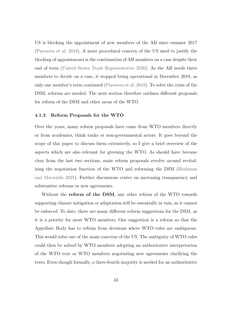US is blocking the appointment of new members of the AB since summer 2017 [\(Payosova et al. 2018\)](#page-75-1). A more procedural concern of the US used to justify the blocking of appointments is the continuation of AB members on a case despite their end of term [\(United States Trade Representative 2020\)](#page-77-1). As the AB needs three members to decide on a case, it stopped being operational in December 2019, as only one member's term continued [\(Payosova et al. 2018\)](#page-75-1). To solve the crisis of the DSM, reforms are needed. The next section therefore outlines different proposals for reform of the DSM and other areas of the WTO.

#### <span id="page-47-0"></span>4.1.3 Reform Proposals for the WTO

Over the years, many reform proposals have come from WTO members directly or from academics, think tanks or non-governmental actors. It goes beyond the scope of this paper to discuss them extensively, so I give a brief overview of the aspects which are also relevant for greening the WTO. As should have become clear from the last two sections, main reform proposals revolve around revitalising the negotiation function of the WTO and reforming the DSM [\(Hoekman](#page-71-2) [and Mavroidis 2021\)](#page-71-2). Further discussions centre on increasing transparency and substantive reforms or new agreements.

Without the reform of the DSM, any other reform of the WTO towards supporting climate mitigation or adaptation will be essentially in vain, as it cannot be enforced. To date, there are many different reform suggestions for the DSM, as it is a priority for most WTO members. One suggestion is a reform so that the Appellate Body has to refrain from decisions where WTO rules are ambiguous. This would solve one of the main concerns of the US. The ambiguity of WTO rules could then be solved by WTO members adopting an authoritative interpretation of the WTO text or WTO members negotiating new agreements clarifying the texts. Even though formally, a three-fourth majority is needed for an authoritative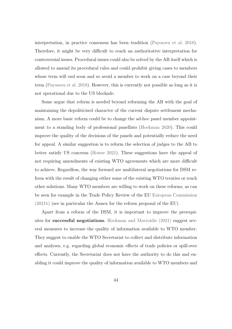interpretation, in practice consensus has been tradition [\(Payosova et al. 2018\)](#page-75-1). Therefore, it might be very difficult to reach an authoritative interpretation for controversial issues. Procedural issues could also be solved by the AB itself which is allowed to amend its procedural rules and could prohibit giving cases to members whose term will end soon and so avoid a member to work on a case beyond their term [\(Payosova et al. 2018\)](#page-75-1). However, this is currently not possible as long as it is not operational due to the US blockade.

Some argue that reform is needed beyond reforming the AB with the goal of maintaining the depoliticised character of the current dispute settlement mechanism. A more basic reform could be to change the ad-hoc panel member appointment to a standing body of professional panellists [\(Hoekman 2020\)](#page-71-3). This could improve the quality of the decisions of the panels and potentially reduce the need for appeal. A similar suggestion is to reform the selection of judges to the AB to better satisfy US concerns [\(Howse 2021\)](#page-72-4). These suggestions have the appeal of not requiring amendments of existing WTO agreements which are more difficult to achieve. Regardless, the way forward are multilateral negotiations for DSM reform with the result of changing either some of the existing WTO treaties or reach other solutions. Many WTO members are willing to work on these reforms, as can be seen for example in the Trade Policy Review of the EU [European Commission](#page-69-3) [\(2021b\)](#page-69-3) (see in particular the Annex for the reform proposal of the EU).

Apart from a reform of the DSM, it is important to improve the prerequisites for successful negotiations. [Hoekman and Mavroidis \(2021\)](#page-71-2) suggest several measures to increase the quality of information available to WTO member. They suggest to enable the WTO Secretariat to collect and distribute information and analyses, e.g. regarding global economic effects of trade policies or spill-over effects. Currently, the Secretariat does not have the authority to do this and enabling it could improve the quality of information available to WTO members and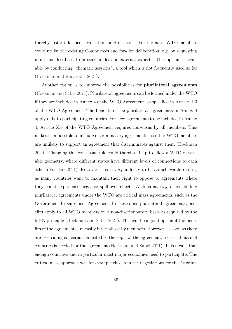thereby foster informed negotiations and decisions. Furthermore, WTO members could utilise the existing Committees and fora for deliberation, e.g. by requesting input and feedback from stakeholders or external experts. This option is available by conducting "thematic sessions", a tool which is not frequently used so far [\(Hoekman and Mavroidis 2021\)](#page-71-2).

Another option is to improve the possibilities for plurilateral agreements [\(Hoekman and Sabel 2021\)](#page-71-4). Plurilateral agreements can be formed under the WTO if they are included in Annex 4 of the WTO Agreement, as specified in Article II:3 of the WTO Agreement. The benefits of the plurilateral agreements in Annex 4 apply only to participating countries. For new agreements to be included in Annex 4, Article X:9 of the WTO Agreement requires consensus by all members. This makes it impossible to include discriminatory agreements, as other WTO members are unlikely to support an agreement that discriminates against them [\(Hoekman](#page-71-3) [2020\)](#page-71-3). Changing this consensus rule could therefore help to allow a WTO of variable geometry, where different states have different levels of connections to each other [\(Narlikar 2021\)](#page-75-2). However, this is very unlikely to be an achievable reform, as many countries want to maintain their right to oppose to agreements where they could experience negative spill-over effects. A different way of concluding plurilateral agreements under the WTO are critical mass agreements, such as the Government Procurement Agreement. In these open plurilateral agreements, benefits apply to all WTO members on a non-discriminatory basis as required by the MFN principle [\(Hoekman and Sabel 2021\)](#page-71-4). This can be a good option if the benefits of the agreements are easily internalised by members. However, as soon as there are free-riding concerns connected to the topic of the agreement, a critical mass of countries is needed for the agreement [\(Hoekman and Sabel 2021\)](#page-71-4). This means that enough countries and in particular most major economies need to participate. The critical mass approach was for example chosen in the negotiations for the Environ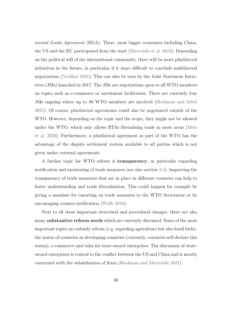mental Goods Agreement (EGA). There, most bigger economies including China, the US and the EU participated from the start [\(Mavroidis et al. 2019\)](#page-74-3). Depending on the political will of the international community, there will be more plurilateral initiatives in the future, in particular if it stays difficult to conclude multilateral negotiations [\(Narlikar 2021\)](#page-75-2). This can also be seen by the Joint Statement Initiatives (JSIs) launched in 2017. The JSIs are negotiations open to all WTO members on topics such as e-commerce or investment facilitation. There are currently four JSIs ongoing where up to 80 WTO members are involved [\(Hoekman and Sabel](#page-71-4) [2021\)](#page-71-4). Of course, plurilateral agreements could also be negotiated outside of the WTO. However, depending on the topic and the scope, they might not be allowed under the WTO, which only allows RTAs liberalising trade in most areas [\(Melo](#page-74-4) [et al. 2020\)](#page-74-4). Furthermore, a plurilateral agreement as part of the WTO has the advantage of the dispute settlement system available to all parties which is not given under external agreements.

A further topic for WTO reform is transparency, in particular regarding notification and monitoring of trade measures (see also section [3.5\)](#page-39-0). Improving the transparency of trade measures that are in place in different countries can help to foster understanding and trade liberalisation. This could happen for example by giving a mandate for reporting on trade measures to the WTO Secretariat or by encouraging counter-notification [\(Wolfe 2018\)](#page-77-2).

Next to all these important structural and procedural changes, there are also many substantive reform needs which are currently discussed. Some of the most important topics are subsidy reform (e.g. regarding agriculture but also fossil fuels), the status of countries as developing countries (currently, countries self-declare this status), e-commerce and rules for state-owned enterprises. The discussion of stateowned enterprises is central to the conflict between the US and China and is mostly concerned with the subsidisation of firms [\(Hoekman and Mavroidis 2021\)](#page-71-2).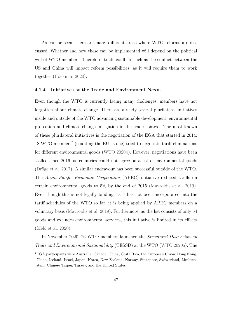As can be seen, there are many different areas where WTO reforms are discussed. Whether and how these can be implemented will depend on the political will of WTO members. Therefore, trade conflicts such as the conflict between the US and China will impact reform possibilities, as it will require them to work together [\(Hoekman 2020\)](#page-71-3).

#### 4.1.4 Initiatives at the Trade and Environment Nexus

Even though the WTO is currently facing many challenges, members have not forgotten about climate change. There are already several plurilateral initiatives inside and outside of the WTO advancing sustainable development, environmental protection and climate change mitigation in the trade context. The most known of these plurilateral initiatives is the negotiation of the EGA that started in 2014. 18 WTO members<sup>[7](#page-51-0)</sup> (counting the EU as one) tried to negotiate tariff eliminations for different environmental goods [\(WTO 2020b\)](#page-78-5). However, negotiations have been stalled since 2016, as countries could not agree on a list of environmental goods (Dröge et al. 2017). A similar endeavour has been successful outside of the WTO. The Asian Pacific Economic Cooperation (APEC) initiative reduced tariffs on certain environmental goods to 5% by the end of 2015 [\(Mavroidis et al. 2019\)](#page-74-3). Even though this is not legally binding, as it has not been incorporated into the tariff schedules of the WTO so far, it is being applied by APEC members on a voluntary basis [\(Mavroidis et al. 2019\)](#page-74-3). Furthermore, as the list consists of only 54 goods and excludes environmental services, this initiative is limited in its effects [\(Melo et al. 2020\)](#page-74-4).

In November 2020, 26 WTO members launched the Structured Discussion on Trade and Environmental Sustainability (TESSD) at the WTO [\(WTO 2020a\)](#page-78-6). The

<span id="page-51-0"></span><sup>7</sup>EGA participants were Australia, Canada, China, Costa Rica, the European Union, Hong Kong, China, Iceland, Israel, Japan, Korea, New Zealand, Norway, Singapore, Switzerland, Liechtenstein, Chinese Taipei, Turkey, and the United States.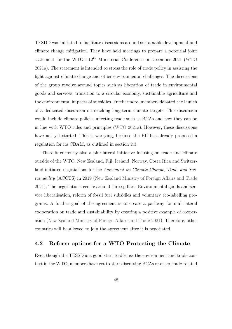TESDD was initiated to facilitate discussions around sustainable development and climate change mitigation. They have held meetings to prepare a potential joint statement for the WTO's 12th Ministerial Conference in December 2021 [\(WTO](#page-78-7) [2021a\)](#page-78-7). The statement is intended to stress the role of trade policy in assisting the fight against climate change and other environmental challenges. The discussions of the group revolve around topics such as liberation of trade in environmental goods and services, transition to a circular economy, sustainable agriculture and the environmental impacts of subsidies. Furthermore, members debated the launch of a dedicated discussion on reaching long-term climate targets. This discussion would include climate policies affecting trade such as BCAs and how they can be in line with WTO rules and principles [\(WTO 2021a\)](#page-78-7). However, these discussions have not yet started. This is worrying, because the EU has already proposed a regulation for its CBAM, as outlined in section [2.3.](#page-18-0)

There is currently also a plurilateral initiative focusing on trade and climate outside of the WTO. New Zealand, Fiji, Iceland, Norway, Costa Rica and Switzerland initiated negotiations for the Agreement on Climate Change, Trade and Sustainability (ACCTS) in 2019 [\(New Zealand Ministry of Foreign Affairs and Trade](#page-75-3) [2021\)](#page-75-3). The negotiations centre around three pillars: Environmental goods and service liberalisation, reform of fossil fuel subsidies and voluntary eco-labelling programs. A further goal of the agreement is to create a pathway for multilateral cooperation on trade and sustainability by creating a positive example of cooperation [\(New Zealand Ministry of Foreign Affairs and Trade 2021\)](#page-75-3). Therefore, other countries will be allowed to join the agreement after it is negotiated.

# 4.2 Reform options for a WTO Protecting the Climate

Even though the TESSD is a good start to discuss the environment and trade context in the WTO, members have yet to start discussing BCAs or other trade-related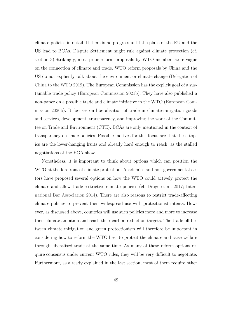climate policies in detail. If there is no progress until the plans of the EU and the US lead to BCAs, Dispute Settlement might rule against climate protection (cf. section [3\)](#page-30-0).Strikingly, most prior reform proposals by WTO members were vague on the connection of climate and trade. WTO reform proposals by China and the US do not explicitly talk about the environment or climate change [\(Delegation of](#page-68-3) [China to the WTO 2019\)](#page-68-3). The European Commission has the explicit goal of a sustainable trade policy [\(European Commission 2021b\)](#page-69-3). They have also published a non-paper on a possible trade and climate initiative in the WTO [\(European Com](#page-69-4)[mission 2020b\)](#page-69-4): It focuses on liberalisation of trade in climate-mitigation goods and services, development, transparency, and improving the work of the Committee on Trade and Environment (CTE). BCAs are only mentioned in the context of transparency on trade policies. Possible motives for this focus are that these topics are the lower-hanging fruits and already hard enough to reach, as the stalled negotiations of the EGA show.

Nonetheless, it is important to think about options which can position the WTO at the forefront of climate protection. Academics and non-governmental actors have proposed several options on how the WTO could actively protect the climate and allow trade-restrictive climate policies (cf. Dröge et al. 2017; [Inter](#page-72-2)[national Bar Association 2014\)](#page-72-2). There are also reasons to restrict trade-affecting climate policies to prevent their widespread use with protectionist intents. However, as discussed above, countries will use such policies more and more to increase their climate ambition and reach their carbon reduction targets. The trade-off between climate mitigation and green protectionism will therefore be important in considering how to reform the WTO best to protect the climate and raise welfare through liberalised trade at the same time. As many of these reform options require consensus under current WTO rules, they will be very difficult to negotiate. Furthermore, as already explained in the last section, most of them require other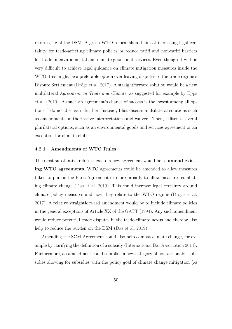reforms, i.e of the DSM. A green WTO reform should aim at increasing legal certainty for trade-affecting climate policies or reduce tariff and non-tariff barriers for trade in environmental and climate goods and services. Even though it will be very difficult to achieve legal guidance on climate mitigation measures inside the WTO, this might be a preferable option over leaving disputes to the trade regime's Dispute Settlement (Dröge et al. 2017). A straightforward solution would be a new multilateral *Agreement on Trade and Climate*, as suggested for example by [Epps](#page-69-0) [et al. \(2010\).](#page-69-0) As such an agreement's chance of success is the lowest among all options, I do not discuss it further. Instead, I fist discuss multilateral solutions such as amendments, authoritative interpretations and waivers. Then, I discuss several plurilateral options, such as an environmental goods and services agreement or an exception for climate clubs.

#### 4.2.1 Amendments of WTO Rules

The most substantive reform next to a new agreement would be to amend existing WTO agreements. WTO agreements could be amended to allow measures taken to pursue the Paris Agreement or more broadly to allow measures combating climate change [\(Das et al. 2019\)](#page-68-2). This could increase legal certainty around climate policy measures and how they relate to the WTO regime (Dröge et al. [2017\)](#page-68-0). A relative straightforward amendment would be to include climate policies in the general exceptions of Article XX of the [GATT \(1994\).](#page-70-1) Any such amendment would reduce potential trade disputes in the trade-climate nexus and thereby also help to reduce the burden on the DSM [\(Das et al. 2019\)](#page-68-2).

Amending the SCM Agreement could also help combat climate change, for example by clarifying the definition of a subsidy [\(International Bar Association 2014\)](#page-72-2). Furthermore, an amendment could establish a new category of non-actionable subsidies allowing for subsidies with the policy goal of climate change mitigation (as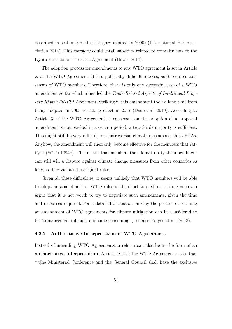described in section [3.5,](#page-39-0) this category expired in 2000) [\(International Bar Asso](#page-72-2)[ciation 2014\)](#page-72-2). This category could entail subsidies related to commitments to the Kyoto Protocol or the Paris Agreement [\(Howse 2010\)](#page-72-1).

The adoption process for amendments to any WTO agreement is set in Article X of the WTO Agreement. It is a politically difficult process, as it requires consensus of WTO members. Therefore, there is only one successful case of a WTO amendment so far which amended the Trade-Related Aspects of Intellectual Property Right (TRIPS) Agreement. Strikingly, this amendment took a long time from being adopted in 2005 to taking effect in 2017 [\(Das et al. 2019\)](#page-68-2). According to Article X of the WTO Agreement, if consensus on the adoption of a proposed amendment is not reached in a certain period, a two-thirds majority is sufficient. This might still be very difficult for controversial climate measures such as BCAs. Anyhow, the amendment will then only become effective for the members that ratify it [\(WTO 1994b\)](#page-78-8). This means that members that do not ratify the amendment can still win a dispute against climate change measures from other countries as long as they violate the original rules.

Given all these difficulties, it seems unlikely that WTO members will be able to adopt an amendment of WTO rules in the short to medium term. Some even argue that it is not worth to try to negotiate such amendments, given the time and resources required. For a detailed discussion on why the process of reaching an amendment of WTO agreements for climate mitigation can be considered to be "controversial, difficult, and time-consuming", see also [Porges et al. \(2013\).](#page-75-4)

### 4.2.2 Authoritative Interpretation of WTO Agreements

Instead of amending WTO Agreements, a reform can also be in the form of an authoritative interpretation. Article IX:2 of the WTO Agreement states that "[t]he Ministerial Conference and the General Council shall have the exclusive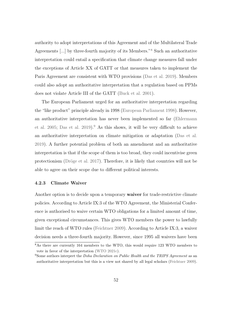authority to adopt interpretations of this Agreement and of the Multilateral Trade Agreements [...] by three-fourth majority of its Members."[8](#page-56-0) Such an authoritative interpretation could entail a specification that climate change measures fall under the exceptions of Article XX of GATT or that measures taken to implement the Paris Agreement are consistent with WTO provisions [\(Das et al. 2019\)](#page-68-2). Members could also adopt an authoritative interpretation that a regulation based on PPMs does not violate Article III of the GATT [\(Buck et al. 2001\)](#page-68-4).

The European Parliament urged for an authoritative interpretation regarding the "like product" principle already in 1998 [\(European Parliament 1998\)](#page-70-2). However, an authoritative interpretation has never been implemented so far [\(Ehlermann](#page-69-5) [et al. 2005;](#page-69-5) [Das et al. 2019\)](#page-68-2).[9](#page-56-1) As this shows, it will be very difficult to achieve an authoritative interpretation on climate mitigation or adaptation [\(Das et al.](#page-68-2) [2019\)](#page-68-2). A further potential problem of both an amendment and an authoritative interpretation is that if the scope of them is too broad, they could incentivise green protectionism (Dröge et al. 2017). Therefore, it is likely that countries will not be able to agree on their scope due to different political interests.

### 4.2.3 Climate Waiver

Another option is to decide upon a temporary waiver for trade-restrictive climate policies. According to Article IX:3 of the WTO Agreement, the Ministerial Conference is authorised to waive certain WTO obligations for a limited amount of time, given exceptional circumstances. This gives WTO members the power to lawfully limit the reach of WTO rules [\(Feichtner 2009\)](#page-70-3). According to Article IX:3, a waiver decision needs a three-fourth majority. However, since 1995 all waivers have been

<span id="page-56-0"></span><sup>8</sup>As there are currently 164 members to the WTO, this would require 123 WTO members to vote in favor of the interpretation [\(WTO 2021c\)](#page-78-9).

<span id="page-56-1"></span> $9$ Some authors interpret the *Doha Declaration on Public Health and the TRIPS Agreement* as an authoritative interpretation but this is a view not shared by all legal scholars [\(Feichtner 2009\)](#page-70-3).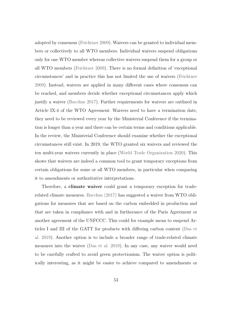adopted by consensus [\(Feichtner 2009\)](#page-70-3). Waivers can be granted to individual members or collectively to all WTO members. Individual waivers suspend obligations only for one WTO member whereas collective waivers suspend them for a group or all WTO members [\(Feichtner 2009\)](#page-70-3). There is no formal definition of 'exceptional circumstances' and in practice this has not limited the use of waivers [\(Feichtner](#page-70-3) [2009\)](#page-70-3). Instead, waivers are applied in many different cases where consensus can be reached, and members decide whether exceptional circumstances apply which justify a waiver [\(Bacchus 2017\)](#page-66-0). Further requirements for waivers are outlined in Article IX:4 of the WTO Agreement: Waivers need to have a termination date, they need to be reviewed every year by the Ministerial Conference if the termination is longer than a year and there can be certain terms and conditions applicable. In the review, the Ministerial Conference should examine whether the exceptional circumstances still exist. In 2019, the WTO granted six waivers and reviewed the ten multi-year waivers currently in place [\(World Trade Organization 2020\)](#page-78-10). This shows that waivers are indeed a common tool to grant temporary exceptions from certain obligations for some or all WTO members, in particular when comparing it to amendments or authoritative interpretations.

Therefore, a climate waiver could grant a temporary exception for traderelated climate measures. [Bacchus \(2017\)](#page-66-0) has suggested a waiver from WTO obligations for measures that are based on the carbon embedded in production and that are taken in compliance with and in furtherance of the Paris Agreement or another agreement of the UNFCCC. This could for example mean to suspend Articles I and III of the GATT for products with differing carbon content [\(Das et](#page-68-2) [al. 2019\)](#page-68-2). Another option is to include a broader range of trade-related climate measures into the waiver [\(Das et al. 2019\)](#page-68-2). In any case, any waiver would need to be carefully crafted to avoid green protectionism. The waiver option is politically interesting, as it might be easier to achieve compared to amendments or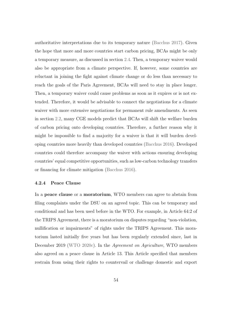authoritative interpretations due to its temporary nature [\(Bacchus 2017\)](#page-66-0). Given the hope that more and more countries start carbon pricing, BCAs might be only a temporary measure, as discussed in section [2.4.](#page-23-0) Then, a temporary waiver would also be appropriate from a climate perspective. If, however, some countries are reluctant in joining the fight against climate change or do less than necessary to reach the goals of the Paris Agreement, BCAs will need to stay in place longer. Then, a temporary waiver could cause problems as soon as it expires or is not extended. Therefore, it would be advisable to connect the negotiations for a climate waiver with more extensive negotiations for permanent rule amendments. As seen in section [2.2,](#page-13-0) many CGE models predict that BCAs will shift the welfare burden of carbon pricing onto developing countries. Therefore, a further reason why it might be impossible to find a majority for a waiver is that it will burden developing countries more heavily than developed countries [\(Bacchus 2016\)](#page-66-1). Developed countries could therefore accompany the waiver with actions ensuring developing countries' equal competitive opportunities, such as low-carbon technology transfers or financing for climate mitigation [\(Bacchus 2016\)](#page-66-1).

#### 4.2.4 Peace Clause

In a peace clause or a moratorium, WTO members can agree to abstain from filing complaints under the DSU on an agreed topic. This can be temporary and conditional and has been used before in the WTO. For example, in Article 64:2 of the TRIPS Agreement, there is a moratorium on disputes regarding "non-violation, nullification or impairments" of rights under the TRIPS Agreement. This moratorium lasted initially five years but has been regularly extended since, last in December 2019 [\(WTO 2020c\)](#page-78-11). In the Agreement on Agriculture, WTO members also agreed on a peace clause in Article 13. This Article specified that members restrain from using their rights to countervail or challenge domestic and export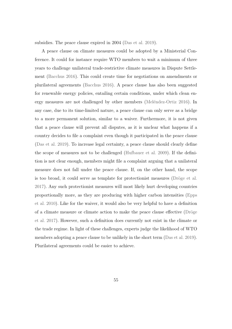subsidies. The peace clause expired in 2004 [\(Das et al. 2019\)](#page-68-2).

A peace clause on climate measures could be adopted by a Ministerial Conference. It could for instance require WTO members to wait a minimum of three years to challenge unilateral trade-restrictive climate measures in Dispute Settlement [\(Bacchus 2016\)](#page-66-1). This could create time for negotiations on amendments or plurilateral agreements [\(Bacchus 2016\)](#page-66-1). A peace clause has also been suggested for renewable energy policies, entailing certain conditions, under which clean energy measures are not challenged by other members (Meléndez-Ortiz  $2016$ ). In any case, due to its time-limited nature, a peace clause can only serve as a bridge to a more permanent solution, similar to a waiver. Furthermore, it is not given that a peace clause will prevent all disputes, as it is unclear what happens if a country decides to file a complaint even though it participated in the peace clause [\(Das et al. 2019\)](#page-68-2). To increase legal certainty, a peace clause should clearly define the scope of measures not to be challenged [\(Hufbauer et al. 2009\)](#page-72-3). If the definition is not clear enough, members might file a complaint arguing that a unilateral measure does not fall under the peace clause. If, on the other hand, the scope is too broad, it could serve as template for protectionist measures (Dröge et al. [2017\)](#page-68-0). Any such protectionist measures will most likely hurt developing countries proportionally more, as they are producing with higher carbon intensities [\(Epps](#page-69-0) [et al. 2010\)](#page-69-0). Like for the waiver, it would also be very helpful to have a definition of a climate measure or climate action to make the peace clause effective (Dröge [et al. 2017\)](#page-68-0). However, such a definition does currently not exist in the climate or the trade regime. In light of these challenges, experts judge the likelihood of WTO members adopting a peace clause to be unlikely in the short term [\(Das et al. 2019\)](#page-68-2). Plurilateral agreements could be easier to achieve.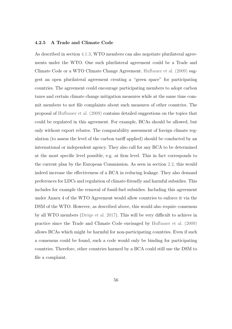#### 4.2.5 A Trade and Climate Code

As described in section [4.1.3,](#page-47-0) WTO members can also negotiate plurilateral agreements under the WTO. One such plurilateral agreement could be a Trade and Climate Code or a WTO Climate Change Agreement. [Hufbauer et al. \(2009\)](#page-72-3) suggest an open plurilateral agreement creating a "green space" for participating countries. The agreement could encourage participating members to adopt carbon taxes and certain climate change mitigation measures while at the same time commit members to not file complaints about such measures of other countries. The proposal of [Hufbauer et al. \(2009\)](#page-72-3) contains detailed suggestions on the topics that could be regulated in this agreement. For example, BCAs should be allowed, but only without export rebates. The comparability assessment of foreign climate regulation (to assess the level of the carbon tariff applied) should be conducted by an international or independent agency. They also call for any BCA to be determined at the most specific level possible, e.g. at firm level. This in fact corresponds to the current plan by the European Commission. As seen in section [2.2,](#page-13-0) this would indeed increase the effectiveness of a BCA in reducing leakage. They also demand preferences for LDCs and regulation of climate-friendly and harmful subsidies. This includes for example the removal of fossil-fuel subsidies. Including this agreement under Annex 4 of the WTO Agreement would allow countries to enforce it via the DSM of the WTO. However, as described above, this would also require consensus by all WTO members (Dröge et al. 2017). This will be very difficult to achieve in practice since the Trade and Climate Code envisaged by [Hufbauer et al. \(2009\)](#page-72-3) allows BCAs which might be harmful for non-participating countries. Even if such a consensus could be found, such a code would only be binding for participating countries. Therefore, other countries harmed by a BCA could still use the DSM to file a complaint.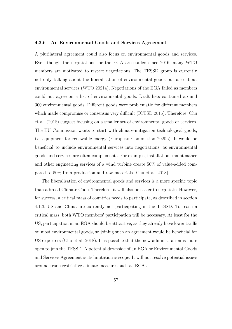#### 4.2.6 An Environmental Goods and Services Agreement

A plurilateral agreement could also focus on environmental goods and services. Even though the negotiations for the EGA are stalled since 2016, many WTO members are motivated to restart negotiations. The TESSD group is currently not only talking about the liberalisation of environmental goods but also about environmental services [\(WTO 2021a\)](#page-78-7). Negotiations of the EGA failed as members could not agree on a list of environmental goods. Draft lists contained around 300 environmental goods. Different goods were problematic for different members which made compromise or consensus very difficult [\(ICTSD 2016\)](#page-72-5). Therefore, [Chu](#page-68-5) [et al. \(2018\)](#page-68-5) suggest focusing on a smaller set of environmental goods or services. The EU Commission wants to start with climate-mitigation technological goods, i.e. equipment for renewable energy [\(European Commission 2020b\)](#page-69-4). It would be beneficial to include environmental services into negotiations, as environmental goods and services are often complements. For example, installation, maintenance and other engineering services of a wind turbine create 50% of value-added compared to 50% from production and raw materials [\(Chu et al. 2018\)](#page-68-5).

The liberalisation of environmental goods and services is a more specific topic than a broad Climate Code. Therefore, it will also be easier to negotiate. However, for success, a critical mass of countries needs to participate, as described in section [4.1.3.](#page-47-0) US and China are currently not participating in the TESSD. To reach a critical mass, both WTO members' participation will be necessary. At least for the US, participation in an EGA should be attractive, as they already have lower tariffs on most environmental goods, so joining such an agreement would be beneficial for US exporters [\(Chu et al. 2018\)](#page-68-5). It is possible that the new administration is more open to join the TESSD. A potential downside of an EGA or Environmental Goods and Services Agreement is its limitation is scope. It will not resolve potential issues around trade-restrictive climate measures such as BCAs.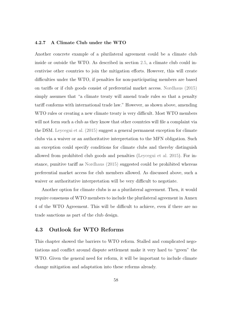#### 4.2.7 A Climate Club under the WTO

Another concrete example of a plurilateral agreement could be a climate club inside or outside the WTO. As described in section [2.5,](#page-26-0) a climate club could incentivise other countries to join the mitigation efforts. However, this will create difficulties under the WTO, if penalties for non-participating members are based on tariffs or if club goods consist of preferential market access. [Nordhaus \(2015\)](#page-75-5) simply assumes that "a climate treaty will amend trade rules so that a penalty tariff conforms with international trade law." However, as shown above, amending WTO rules or creating a new climate treaty is very difficult. Most WTO members will not form such a club as they know that other countries will file a complaint via the DSM. [Leycegui et al. \(2015\)](#page-74-2) suggest a general permanent exception for climate clubs via a waiver or an authoritative interpretation to the MFN obligation. Such an exception could specify conditions for climate clubs and thereby distinguish allowed from prohibited club goods and penalties [\(Leycegui et al. 2015\)](#page-74-2). For instance, punitive tariff as [Nordhaus \(2015\)](#page-75-5) suggested could be prohibited whereas preferential market access for club members allowed. As discussed above, such a waiver or authoritative interpretation will be very difficult to negotiate.

Another option for climate clubs is as a plurilateral agreement. Then, it would require consensus of WTO members to include the plurilateral agreement in Annex 4 of the WTO Agreement. This will be difficult to achieve, even if there are no trade sanctions as part of the club design.

# 4.3 Outlook for WTO Reforms

This chapter showed the barriers to WTO reform. Stalled and complicated negotiations and conflict around dispute settlement make it very hard to "green" the WTO. Given the general need for reform, it will be important to include climate change mitigation and adaptation into these reforms already.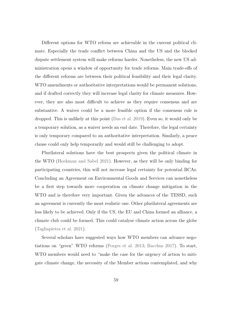Different options for WTO reform are achievable in the current political climate. Especially the trade conflict between China and the US and the blocked dispute settlement system will make reforms harder. Nonetheless, the new US administration opens a window of opportunity for trade reforms. Main trade-offs of the different reforms are between their political feasibility and their legal clarity. WTO amendments or authoritative interpretations would be permanent solutions, and if drafted correctly they will increase legal clarity for climate measures. However, they are also most difficult to achieve as they require consensus and are substantive. A waiver could be a more feasible option if the consensus rule is dropped. This is unlikely at this point [\(Das et al. 2019\)](#page-68-2). Even so, it would only be a temporary solution, as a waiver needs an end date. Therefore, the legal certainty is only temporary compared to an authoritative interpretation. Similarly, a peace clause could only help temporarily and would still be challenging to adopt.

Plurilateral solutions have the best prospects given the political climate in the WTO [\(Hoekman and Sabel 2021\)](#page-71-4). However, as they will be only binding for participating countries, this will not increase legal certainty for potential BCAs. Concluding an Agreement on Environmental Goods and Services can nonetheless be a first step towards more cooperation on climate change mitigation in the WTO and is therefore very important. Given the advances of the TESSD, such an agreement is currently the most realistic one. Other plurilateral agreements are less likely to be achieved. Only if the US, the EU and China formed an alliance, a climate club could be formed. This could catalyse climate action across the globe [\(Tagliapietra et al. 2021\)](#page-76-1).

Several scholars have suggested ways how WTO members can advance negotiations on "green" WTO reforms [\(Porges et al. 2013;](#page-75-4) [Bacchus 2017\)](#page-66-0). To start, WTO members would need to "make the case for the urgency of action to mitigate climate change, the necessity of the Member actions contemplated, and why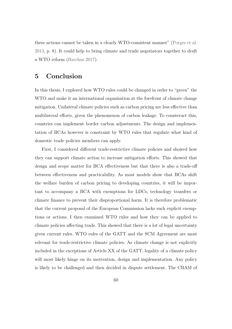these actions cannot be taken in a clearly WTO-consistent manner" [\(Porges et al.](#page-75-4) [2013,](#page-75-4) p. 8). It could help to bring climate and trade negotiators together to draft a WTO reform [\(Bacchus 2017\)](#page-66-0).

# 5 Conclusion

In this thesis, I explored how WTO rules could be changed in order to "green" the WTO and make it an international organisation at the forefront of climate change mitigation. Unilateral climate policies such as carbon pricing are less effective than multilateral efforts, given the phenomenon of carbon leakage. To counteract this, countries can implement border carbon adjustments. The design and implementation of BCAs however is constraint by WTO rules that regulate what kind of domestic trade policies members can apply.

First, I considered different trade-restrictive climate policies and showed how they can support climate action to increase mitigation efforts. This showed that design and scope matter for BCA effectiveness but that there is also a trade-off between effectiveness and practicability. As most models show that BCAs shift the welfare burden of carbon pricing to developing countries, it will be important to accompany a BCA with exemptions for LDCs, technology transfers or climate finance to prevent their disproportional harm. It is therefore problematic that the current proposal of the European Commission lacks such explicit exemptions or actions. I then examined WTO rules and how they can be applied to climate policies affecting trade. This showed that there is a lot of legal uncertainty given current rules. WTO rules of the GATT and the SCM Agreement are most relevant for trade-restrictive climate policies. As climate change is not explicitly included in the exceptions of Article XX of the GATT, legality of a climate policy will most likely hinge on its motivation, design and implementation. Any policy is likely to be challenged and then decided in dispute settlement. The CBAM of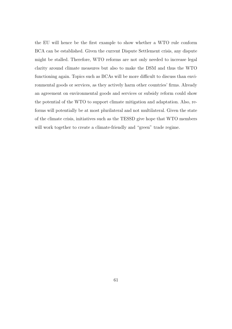the EU will hence be the first example to show whether a WTO rule conform BCA can be established. Given the current Dispute Settlement crisis, any dispute might be stalled. Therefore, WTO reforms are not only needed to increase legal clarity around climate measures but also to make the DSM and thus the WTO functioning again. Topics such as BCAs will be more difficult to discuss than environmental goods or services, as they actively harm other countries' firms. Already an agreement on environmental goods and services or subsidy reform could show the potential of the WTO to support climate mitigation and adaptation. Also, reforms will potentially be at most plurilateral and not multilateral. Given the state of the climate crisis, initiatives such as the TESSD give hope that WTO members will work together to create a climate-friendly and "green" trade regime.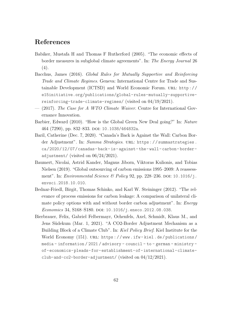# References

- Babiker, Mustafa H and Thomas F Rutherford (2005). "The economic effects of border measures in subglobal climate agreements". In: The Energy Journal 26  $(4).$
- <span id="page-66-1"></span>Bacchus, James (2016). Global Rules for Mutually Supportive and Reinforcing Trade and Climate Regimes. Geneva: International Centre for Trade and Sustainable Development (ICTSD) and World Economic Forum. url: [http://](http://e15initiative.org/publications/global-rules-mutually-supportive-reinforcing-trade-climate-regimes/) [e15initiative.org/publications/global-rules-mutually-supportive](http://e15initiative.org/publications/global-rules-mutually-supportive-reinforcing-trade-climate-regimes/)[reinforcing-trade-climate-regimes/](http://e15initiative.org/publications/global-rules-mutually-supportive-reinforcing-trade-climate-regimes/) (visited on 04/19/2021).
- <span id="page-66-0"></span>— (2017). The Case for A WTO Climate Waiver. Centre for International Governance Innovation.
- Barbier, Edward (2010). "How is the Global Green New Deal going?" In: Nature 464 (7290), pp. 832–833. doi: [10.1038/464832a](https://doi.org/10.1038/464832a).
- Baril, Catherine (Dec. 7, 2020). "Canada's Back is Against the Wall: Carbon Border Adjustment". In: Summa Strategies. URL: https://summastrategies. [ca/2020/12/07/canadas- back- is- against- the- wall- carbon- border](https://summastrategies.ca/2020/12/07/canadas-back-is-against-the-wall-carbon-border-adjustment/)[adjustment/](https://summastrategies.ca/2020/12/07/canadas-back-is-against-the-wall-carbon-border-adjustment/) (visited on  $06/24/2021$ ).
- Baumert, Nicolai, Astrid Kander, Magnus Jiborn, Viktoras Kulionis, and Tobias Nielsen (2019). "Global outsourcing of carbon emissions 1995–2009: A reassessment". In: *Environmental Science* & Policy 92, pp. 228–236. DOI: [10.1016/j.](https://doi.org/10.1016/j.envsci.2018.10.010) [envsci.2018.10.010](https://doi.org/10.1016/j.envsci.2018.10.010).
- Bednar-Friedl, Birgit, Thomas Schinko, and Karl W. Steininger (2012). "The relevance of process emissions for carbon leakage: A comparison of unilateral climate policy options with and without border carbon adjustment". In: Energy Economics 34, S168-S180. DOI: [10.1016/j.eneco.2012.08.038](https://doi.org/10.1016/j.eneco.2012.08.038).
- Bierbrauer, Felix, Gabriel Felbermayr, Ochenfels, Axel, Schmidt, Klaus M., and Jens Südekum (Mar. 1, 2021). "A CO2-Border Adjustment Mechanism as a Building Block of a Climate Club". In: Kiel Policy Brief. Kiel Institute for the World Economy (151). URL: https://www.ifw-kiel.de/publications/ [media - information / 2021 / advisory - council - to - german - ministry](https://www.ifw-kiel.de/publications/media-information/2021/advisory-council-to-german-ministry-of-economics-pleads-for-establishment-of-international-climate-club-and-co2-border-adjustment/)  [of-economics-pleads-for-establishment-of-international-climate](https://www.ifw-kiel.de/publications/media-information/2021/advisory-council-to-german-ministry-of-economics-pleads-for-establishment-of-international-climate-club-and-co2-border-adjustment/)[club-and-co2-border-adjustment/](https://www.ifw-kiel.de/publications/media-information/2021/advisory-council-to-german-ministry-of-economics-pleads-for-establishment-of-international-climate-club-and-co2-border-adjustment/) (visited on 04/12/2021).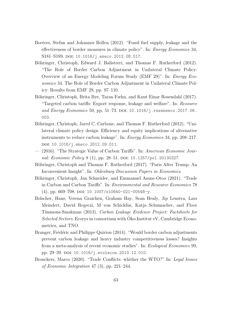- Boeters, Stefan and Johannes Bollen (2012). "Fossil fuel supply, leakage and the effectiveness of border measures in climate policy". In: Energy Economics 34, S181–S189. doi: [10.1016/j.eneco.2012.08.017](https://doi.org/10.1016/j.eneco.2012.08.017).
- Böhringer, Christoph, Edward J. Balistreri, and Thomas F. Rutherford (2012). "The Role of Border Carbon Adjustment in Unilateral Climate Policy: Overview of an Energy Modeling Forum Study (EMF 29)". In: Energy Economics 34. The Role of Border Carbon Adjustment in Unilateral Climate Policy: Results from EMF 29, pp. 97–110.
- Böhringer, Christoph, Brita Bye, Taran Fæhn, and Knut Einar Rosendahl (2017). "Targeted carbon tariffs: Export response, leakage and welfare". In: Resource and Energy Economics 50, pp. 51–73. DOI:  $10.1016/j$ .reseneeco.2017.06. [003](https://doi.org/10.1016/j.reseneeco.2017.06.003).
- Böhringer, Christoph, Jared C. Carbone, and Thomas F. Rutherford (2012). "Unilateral climate policy design: Efficiency and equity implications of alternative instruments to reduce carbon leakage". In: Energy Economics 34, pp. 208–217. doi: [10.1016/j.eneco.2012.09.011](https://doi.org/10.1016/j.eneco.2012.09.011).
- (2016). "The Strategic Value of Carbon Tariffs". In: American Economic Jour-nal: Economic Policy 8 (1), pp. 28-51. DOI: [10.1257/pol.20130327](https://doi.org/10.1257/pol.20130327).
- Böhringer, Christoph and Thomas F. Rutherford (2017). "Paris After Trump: An Inconvenient Insight". In: Oldenburg Discussion Papers in Economics.
- Böhringer, Christoph, Jan Schneider, and Emmanuel Asane-Otoo (2021). "Trade in Carbon and Carbon Tariffs". In: Environmental and Resource Economics 78  $(4)$ , pp. 669–708. doi: [10.1007/s10640-021-00548-y](https://doi.org/10.1007/s10640-021-00548-y).
- Bolscher, Hans, Verena Graichen, Graham Hay, Sean Healy, Jip Lenstra, Lars Meindert, David Regeczi, M von Schickfus, Katja Schumacher, and Floor Timmons-Smakman (2013). Carbon Leakage Evidence Project: Factsheets for  $Selected \, Sections.$  Ecorys in consortium with  $\ddot{O}$ ko-Institut eV, Cambridge Econometrics, and TNO.
- Branger, Frédéric and Philippe Quirion (2014). "Would border carbon adjustments prevent carbon leakage and heavy industry competitiveness losses? Insights from a meta-analysis of recent economic studies". In: Ecological Economics 99, pp. 29–39. doi: [10.1016/j.ecolecon.2013.12.010](https://doi.org/10.1016/j.ecolecon.2013.12.010).
- <span id="page-67-0"></span>Bronckers, Marco (2020). "Trade Conflicts: whither the WTO?" In: Legal Issues of Economic Integration 47 (3), pp. 221–244.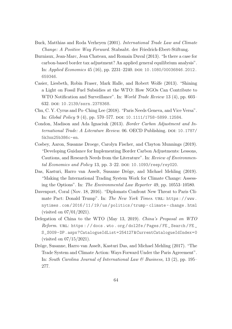- <span id="page-68-4"></span>Buck, Matthias and Roda Verheyen (2001). International Trade Law and Climate Change: A Positive Way Forward. Stabsabt. der Friedrich-Ebert-Stiftung.
- Burniaux, Jean-Marc, Jean Chateau, and Romain Duval (2013). "Is there a case for carbon-based border tax adjustment? An applied general equilibrium analysis". In: Applied Economics 45 (16), pp. 2231-2240. DOI: [10.1080/00036846.2012.](https://doi.org/10.1080/00036846.2012.659346) [659346](https://doi.org/10.1080/00036846.2012.659346).
- <span id="page-68-1"></span>Casier, Liesbeth, Robin Fraser, Mark Halle, and Robert Wolfe (2013). "Shining a Light on Fossil Fuel Subsidies at the WTO: How NGOs Can Contribute to WTO Notification and Surveillance". In: World Trade Review 13 (4), pp. 603– 632. doi: [10.2139/ssrn.2378368](https://doi.org/10.2139/ssrn.2378368).
- <span id="page-68-5"></span>Chu, C. Y. Cyrus and Po–Ching Lee (2018). "Paris Needs Geneva, and Vice Versa". In: Global Policy 9 (4), pp. 570–577. DOI: [10.1111/1758-5899.12584](https://doi.org/10.1111/1758-5899.12584).
- Condon, Madison and Ada Ignaciuk (2013). Border Carbon Adjustment and In-ternational Trade: A Literature Review. 06. OECD Publishing. pol: [10.1787/](https://doi.org/10.1787/5k3xn25b386c-en) [5k3xn25b386c-en](https://doi.org/10.1787/5k3xn25b386c-en).
- Cosbey, Aaron, Susanne Droege, Carolyn Fischer, and Clayton Munnings (2019). "Developing Guidance for Implementing Border Carbon Adjustments: Lessons, Cautions, and Research Needs from the Literature". In: Review of Environmental Economics and Policy 13, pp. 3-22. DOI:  $10.1093$ /reep/rey020.
- <span id="page-68-2"></span>Das, Kasturi, Harro van Asselt, Susanne Dröge, and Michael Mehling (2019). "Making the International Trading System Work for Climate Change: Assessing the Options". In: The Environmental Law Reporter 49, pp. 10553–10580.
- Davenport, Coral (Nov. 18, 2016). "Diplomats Confront New Threat to Paris Climate Pact: Donald Trump". In: The New York Times. URL: [https://www.](https://www.nytimes.com/2016/11/19/us/politics/trump-climate-change.html) [nytimes . com / 2016 / 11 / 19 / us / politics / trump - climate - change . html](https://www.nytimes.com/2016/11/19/us/politics/trump-climate-change.html) (visited on 07/01/2021).
- <span id="page-68-3"></span>Delegation of China to the WTO (May 13, 2019). China's Proposal on WTO  $Reform.$  URL: https://docs.wto.org/dol2fe/Pages/FE\_Search/FE\_ S\_S009-DP.aspx?CatalogueIdList=254127&CurrentCatalogueIdIndex=0 (visited on 07/15/2021).
- <span id="page-68-0"></span>Dröge, Susanne, Harro van Asselt, Kasturi Das, and Michael Mehling (2017). "The Trade System and Climate Action: Ways Forward Under the Paris Agreement". In: South Carolina Journal of International Law & Business, 13 (2), pp. 195– 277.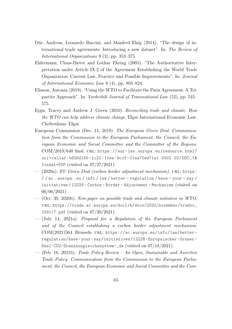- <span id="page-69-2"></span>Dür, Andreas, Leonardo Baccini, and Manfred Elsig (2014). "The design of international trade agreements: Introducing a new dataset". In: The Review of International Organizations 9 (3), pp. 353–375.
- <span id="page-69-5"></span>Ehlermann, Claus-Dieter and Lothar Ehring (2005). "The Authoritative Interpretation under Article IX:2 of the Agreement Establishing the World Trade Organization: Current Law, Practice and Possible Improvements". In: Journal of International Economic Law 8 (4), pp. 803–824.
- Eliason, Antonia (2019). "Using the WTO to Facilitate the Paris Agreement: A Tripartite Approach". In: Varderbilt Journal of Transnational Law (52), pp. 545– 575.
- <span id="page-69-0"></span>Epps, Tracey and Andrew J. Green (2010). Reconciling trade and climate. How the WTO can help address climate change. Elgar International Economic Law. Cheltenham: Elgar.
- European Commission (Dec. 11, 2019). The European Green Deal. Communication from the Commission to the European Parliament, the Council, the European Economic and Social Committee and the Committee of the Regions. COM/2019/640 final. URL: [https://eur-lex.europa.eu/resource.html?](https://eur-lex.europa.eu/resource.html?uri=cellar:b828d165-1c22-11ea-8c1f-01aa75ed71a1.0002.02/DOC_1&format=PDF) [uri=cellar:b828d165- 1c22- 11ea- 8c1f- 01aa75ed71a1.0002.02/DOC\\_1&](https://eur-lex.europa.eu/resource.html?uri=cellar:b828d165-1c22-11ea-8c1f-01aa75ed71a1.0002.02/DOC_1&format=PDF) [format=PDF](https://eur-lex.europa.eu/resource.html?uri=cellar:b828d165-1c22-11ea-8c1f-01aa75ed71a1.0002.02/DOC_1&format=PDF) (visited on 07/27/2021).
- $-$  (2020a). EU Green Deal (carbon border adjustment mechanism). URL: [https:](https://ec.europa.eu/info/law/better-regulation/have-your-say/initiatives/12228-Carbon-Border-Adjustment-Mechanism) [/ / ec . europa . eu / info / law / better - regulation / have - your - say /](https://ec.europa.eu/info/law/better-regulation/have-your-say/initiatives/12228-Carbon-Border-Adjustment-Mechanism) [initiatives / 12228 - Carbon - Border - Adjustment - Mechanism](https://ec.europa.eu/info/law/better-regulation/have-your-say/initiatives/12228-Carbon-Border-Adjustment-Mechanism) (visited on 06/06/2021).
- <span id="page-69-4"></span>— (Oct. 30, 2020b). Non-paper on possible trade and climate initiative in WTO. url: [https://trade.ec.europa.eu/doclib/docs/2020/november/tradoc\\_](https://trade.ec.europa.eu/doclib/docs/2020/november/tradoc_159117.pdf) [159117.pdf](https://trade.ec.europa.eu/doclib/docs/2020/november/tradoc_159117.pdf) (visited on 07/30/2021).
- <span id="page-69-1"></span> $-$  (July 14, 2021a). Proposal for a Regulation of the European Parliament and of the Council establishing a carbon border adjustment mechanism. COM(2021)564. Brussels. url: [https://ec.europa.eu/info/law/better](https://ec.europa.eu/info/law/better-regulation/have-your-say/initiatives/12228-Europaischer-Gruner-Deal-CO2-Grenzausgleichssystem-_de)[regulation/have-your-say/initiatives/12228-Europaischer-Gruner-](https://ec.europa.eu/info/law/better-regulation/have-your-say/initiatives/12228-Europaischer-Gruner-Deal-CO2-Grenzausgleichssystem-_de)[Deal-CO2-Grenzausgleichssystem-\\_de](https://ec.europa.eu/info/law/better-regulation/have-your-say/initiatives/12228-Europaischer-Gruner-Deal-CO2-Grenzausgleichssystem-_de) (visited on 07/18/2021).
- <span id="page-69-3"></span>— (Feb. 18, 2021b). Trade Policy Review - An Open, Sustainable and Assertive Trade Policy. Communication from the Commission to the European Parliament, the Council, the European Economic and Social Committee and the Com-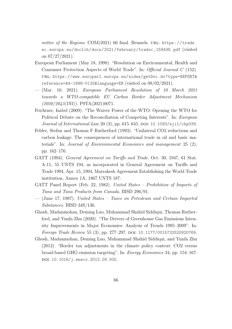mittee of the Regions. COM(2021) 66 final. Brussels. URL: [https://trade.](https://trade.ec.europa.eu/doclib/docs/2021/february/tradoc_159438.pdf) [ec.europa.eu/doclib/docs/2021/february/tradoc\\_159438.pdf](https://trade.ec.europa.eu/doclib/docs/2021/february/tradoc_159438.pdf) (visited on  $07/27/2021$ .

- <span id="page-70-2"></span>European Parliament (May 18, 1998). "Resolution on Environmental, Health and Consumer Protection Aspects of World Trade". In: Official Journal C (152). url: [https://www.europarl.europa.eu/sides/getDoc.do?type=REPORT&](https://www.europarl.europa.eu/sides/getDoc.do?type=REPORT&reference=A4-1998-0125&language=EN) [reference=A4-1998-0125&language=EN](https://www.europarl.europa.eu/sides/getDoc.do?type=REPORT&reference=A4-1998-0125&language=EN) (visited on 08/02/2021).
- $-$  (Mar. 10, 2021). European Parliament Resolution of 10 March 2021 towards a WTO-compatible EU Carbon Border Adjustment Mechanism  $(2020/2043(INI))$ . P9TA $(2021)0071$ .
- <span id="page-70-3"></span>Feichtner, Isabel (2009). "The Waiver Power of the WTO: Opening the WTO for Political Debate on the Reconciliation of Competing Interests". In: European Journal of International Law 20 (3), pp. 615–645. DOI: [10.1093/ejil/chp039](https://doi.org/10.1093/ejil/chp039).
- Felder, Stefan and Thomas F Rutherford (1993). "Unilateral CO2 reductions and carbon leakage: The consequences of international trade in oil and basic materials". In: Journal of Environmental Economics and management 25 (2), pp. 162–176.
- <span id="page-70-1"></span>GATT (1994). General Agreement on Tariffs and Trade. Oct. 30, 1947, 61 Stat. A-11, 55 UNTS 194, as incorporated in General Agreement on Tariffs and Trade 1994, Apr. 15, 1994, Marrakesh Agreement Establishing the World Trade institution, Annex 1A, 1867 UNTS 187.
- <span id="page-70-0"></span>GATT Panel Report (Feb. 22, 1982). United States – Prohibition of Imports of Tuna and Tuna Products from Canada. BISD 296/91.
- (June 17, 1987). United States Taxes on Petroleum and Certain Imported Substances. BISD 34S/136.
- Ghosh, Madanmohan, Deming Luo, Muhammad Shahid Siddiqui, Thomas Rutherford, and Yunfa Zhu (2020). "The Drivers of Greenhouse Gas Emissions Intensity Improvements in Major Economies: Analysis of Trends 1995–2009". In: Foreign Trade Review 55 (3), pp. 277-297. DOI: [10.1177/0015732520920769](https://doi.org/10.1177/0015732520920769).
- Ghosh, Madanmohan, Deming Luo, Muhammad Shahid Siddiqui, and Yunfa Zhu (2012). "Border tax adjustments in the climate policy context: CO2 versus broad-based GHG emission targeting". In: Energy Economics 34, pp. 154–167. doi: [10.1016/j.eneco.2012.09.005](https://doi.org/10.1016/j.eneco.2012.09.005).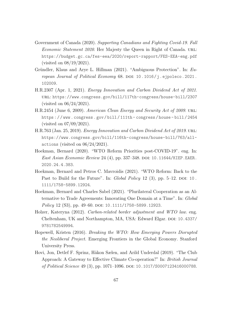- Government of Canada (2020). Supporting Canadians and Fighting Covid-19. Fall Economic Statement 2020. Her Majesty the Queen in Right of Canada. URL: <https://budget.gc.ca/fes-eea/2020/report-rapport/FES-EEA-eng.pdf> (visited on 08/19/2021).
- <span id="page-71-0"></span>Gründler, Klaus and Arye L. Hillman (2021). "Ambiguous Protection". In: Eu-ropean Journal of Political Economy 68. DOI: [10.1016/j.ejpoleco.2021.](https://doi.org/10.1016/j.ejpoleco.2021.102009) [102009](https://doi.org/10.1016/j.ejpoleco.2021.102009).
- H.R.2307 (Apr. 1, 2021). Energy Innovation and Carbon Dividend Act of 2021. url: <https://www.congress.gov/bill/117th-congress/house-bill/2307> (visited on 06/24/2021).
- H.R.2454 (June 6, 2009). American Clean Energy and Security Act of 2009. url: [https : / / www . congress . gov / bill / 111th - congress / house - bill / 2454](https://www.congress.gov/bill/111th-congress/house-bill/2454) (visited on 07/09/2021).
- H.R.763 (Jan. 25, 2019). *Energy Innovation and Carbon Dividend Act of 2019*. URL: [https://www.congress.gov/bill/116th-congress/house-bill/763/all](https://www.congress.gov/bill/116th-congress/house-bill/763/all-actions)[actions](https://www.congress.gov/bill/116th-congress/house-bill/763/all-actions) (visited on 06/24/2021).
- <span id="page-71-3"></span>Hoekman, Bernard (2020). "WTO Reform Priorities post-COVID-19". eng. In: East Asian Economic Review 24 (4), pp. 337-348. DOI: 10.11644/KIEP. EAER. [2020.24.4.383](https://doi.org/10.11644/KIEP.EAER.2020.24.4.383).
- <span id="page-71-2"></span>Hoekman, Bernard and Petros C. Mavroidis (2021). "WTO Reform: Back to the Past to Build for the Future". In: *Global Policy* 12  $(3)$ , pp. 5–12. DOI: 10. [1111/1758-5899.12924](https://doi.org/10.1111/1758-5899.12924).
- <span id="page-71-4"></span>Hoekman, Bernard and Charles Sabel (2021). "Plurilateral Cooperation as an Alternative to Trade Agreements: Innovating One Domain at a Time". In: Global Policy 12 (S3), pp. 49–60. DOI: [10.1111/1758-5899.12923](https://doi.org/10.1111/1758-5899.12923).
- Holzer, Kateryna (2012). Carbon-related border adjustment and WTO law. eng. Cheltenham, UK and Northampton, MA, USA: Edward Elgar. DOI: [10.4337/](https://doi.org/10.4337/9781782549994) [9781782549994](https://doi.org/10.4337/9781782549994).
- <span id="page-71-1"></span>Hopewell, Kristen (2016). Breaking the WTO: How Emerging Powers Disrupted the Neoliberal Project. Emerging Frontiers in the Global Economy. Stanford University Press.
- Hovi, Jon, Detlef F. Sprinz, Håkon Sælen, and Arild Underdal (2019). "The Club Approach: A Gateway to Effective Climate Co-operation?" In: British Journal of Political Science 49 (3), pp. 1071-1096. DOI: [10.1017/S0007123416000788](https://doi.org/10.1017/S0007123416000788).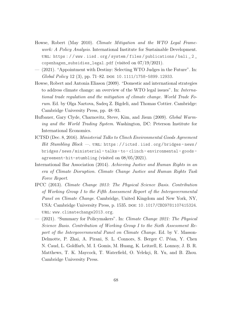- Howse, Robert (May 2010). Climate Mitigation and the WTO Legal Framework: A Policy Analysis. International Institute for Sustainable Development. URL: https://www.iisd.org/system/files/publications/bali\_2\_ [copenhagen\\_subsidies\\_legal.pdf](https://www.iisd.org/system/files/publications/bali_2_copenhagen_subsidies_legal.pdf) (visited on 07/19/2021).
- (2021). "Appointment with Destiny: Selecting WTO Judges in the Future". In: Global Policy 12 (3), pp. 71–82. DOI: [10.1111/1758-5899.12933](https://doi.org/10.1111/1758-5899.12933).
- Howse, Robert and Antonia Eliason (2009). "Domestic and international strategies to address climate change: an overview of the WTO legal issues". In: International trade regulation and the mitigation of climate change. World Trade Forum. Ed. by Olga Nartova, Sadeq Z. Bigdeli, and Thomas Cottier. Cambridge: Cambridge University Press, pp. 48–93.
- Hufbauer, Gary Clyde, Charnovitz, Steve, Kim, and Jisun (2009). Global Warming and the World Trading System. Washington, DC: Peterson Institute for International Economics.
- ICTSD (Dec. 8, 2016). Ministerial Talks to Clinch Environmental Goods Agreement Hit Stumbling Block  $-$ . URL: https://ictsd.iisd.org/bridges-news/ [bridges / news / ministerial - talks - to - clinch - environmental - goods](https://ictsd.iisd.org/bridges-news/bridges/news/ministerial-talks-to-clinch-environmental-goods-agreement-hit-stumbling)  [agreement-hit-stumbling](https://ictsd.iisd.org/bridges-news/bridges/news/ministerial-talks-to-clinch-environmental-goods-agreement-hit-stumbling) (visited on 08/05/2021).
- International Bar Association (2014). Achieving Justice and Human Rights in an era of Climate Disruption. Climate Change Justice and Human Rights Task Force Report.
- IPCC (2013). Climate Change 2013: The Physical Science Basis. Contribution of Working Group I to the Fifth Assessment Report of the Intergovernmental Panel on Climate Change. Cambridge, United Kingdom and New York, NY, USA: Cambridge University Press, p. 1535. doi: [10.1017/CBO9781107415324](https://doi.org/10.1017/CBO9781107415324). URL: <www.climatechange2013.org>.
- (2021). "Summary for Policymakers". In: Climate Change 2021: The Physical Science Basis. Contribution of Working Group I to the Sixth Assessment Report of the Intergovernmental Panel on Climate Change. Ed. by V. Masson-Delmotte, P. Zhai, A. Pirani, S. L. Connors, S. Berger C. Péan, Y. Chen N. Caud, L. Goldfarb, M. I. Gomis, M. Huang, K. Leitzell, E. Lonnoy, J. B. R. Matthews, T. K. Maycock, T. Waterfield, O. Yelekçi, R. Yu, and B. Zhou. Cambridge University Press.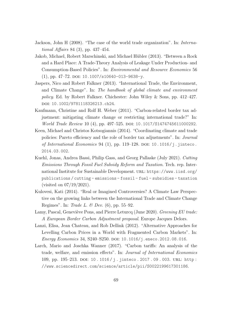- Jackson, John H (2008). "The case of the world trade organization". In: International Affairs 84 (3), pp. 437–454.
- Jakob, Michael, Robert Marschinski, and Michael Hübler (2013). "Between a Rock and a Hard Place: A Trade-Theory Analysis of Leakage Under Production- and Consumption-Based Policies". In: Environmental and Resource Economics 56  $(1)$ , pp. 47–72. DOI: [10.1007/s10640-013-9638-y](https://doi.org/10.1007/s10640-013-9638-y).
- Jaspers, Nico and Robert Falkner (2013). "International Trade, the Environment, and Climate Change". In: The handbook of global climate and environment policy. Ed. by Robert Falkner. Chichester: John Wiley & Sons, pp. 412–427. doi: [10.1002/9781118326213.ch24](https://doi.org/10.1002/9781118326213.ch24).
- Kaufmann, Christine and Rolf H. Weber (2011). "Carbon-related border tax adjustment: mitigating climate change or restricting international trade?" In: World Trade Review 10 (4), pp. 497–525. DOI: [10.1017/S1474745611000292](https://doi.org/10.1017/S1474745611000292).
- Keen, Michael and Christos Kotsogiannis (2014). "Coordinating climate and trade policies: Pareto efficiency and the role of border tax adjustments". In: Journal of International Economics 94 (1), pp. 119-128. DOI: [10.1016/j.jinteco.](https://doi.org/10.1016/j.jinteco.2014.03.002) [2014.03.002](https://doi.org/10.1016/j.jinteco.2014.03.002).
- Kuehl, Jonas, Andrea Bassi, Philip Gass, and Georg Pallaske (July 2021). Cutting Emissions Through Fossil Fuel Subsidy Reform and Taxation. Tech. rep. International Institute for Sustainable Development. URL: [https://www.iisd.org/](https://www.iisd.org/publications/cutting-emissions-fossil-fuel-subsidies-taxation) [publications / cutting - emissions - fossil - fuel - subsidies - taxation](https://www.iisd.org/publications/cutting-emissions-fossil-fuel-subsidies-taxation) (visited on 07/19/2021).
- Kulovesi, Kati (2014). "Real or Imagined Controversies? A Climate Law Perspective on the growing links between the International Trade and Climate Change Regimes". In: Trade L. & Dev. (6), pp. 55–92.
- Lamy, Pascal, Geneviève Pons, and Pierre Leturcq (June 2020). Greening EU trade: A European Border Carbon Adjustment proposal. Europe Jacques Delors.
- Lanzi, Elisa, Jean Chateau, and Rob Dellink (2012). "Alternative Approaches for Levelling Carbon Prices in a World with Fragmented Carbon Markets". In: Energy Economics 34, S240-S250. DOI: [10.1016/j.eneco.2012.08.016](https://doi.org/10.1016/j.eneco.2012.08.016).
- Larch, Mario and Joschka Wanner (2017). "Carbon tariffs: An analysis of the trade, welfare, and emission effects". In: Journal of International Economics 109, pp. 195-213. DOI: 10.1016/j.jinteco.2017.09.003. URL: http: [//www.sciencedirect.com/science/article/pii/S0022199617301186](http://www.sciencedirect.com/science/article/pii/S0022199617301186).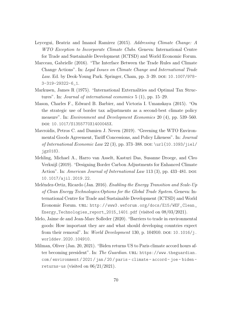- Leycegui, Beatriz and Imanol Ramirez (2015). Addressing Climate Change: A WTO Exception to Incorporate Climate Clubs. Geneva: International Centre for Trade and Sustainable Development (ICTSD) and World Economic Forum.
- Marceau, Gabrielle (2016). "The Interface Between the Trade Rules and Climate Change Actions". In: Legal Issues on Climate Change and International Trade Law. Ed. by Deok-Young Park. Springer, Cham, pp.  $3-39$ . DOI:  $10.1007/978-$ [3-319-29322-6\\_1](https://doi.org/10.1007/978-3-319-29322-6_1).
- Markusen, James R (1975). "International Externalities and Optimal Tax Structures". In: Journal of international economics 5 (1), pp. 15–29.
- Mason, Charles F., Edward B. Barbier, and Victoria I. Umanskaya (2015). "On the strategic use of border tax adjustments as a second-best climate policy measure". In: Environment and Development Economics 20 (4), pp. 539–560. doi: [10.1017/S1355770X1400045X](https://doi.org/10.1017/S1355770X1400045X).
- Mavroidis, Petros C. and Damien J. Neven (2019). "Greening the WTO Environmental Goods Agreement, Tariff Concessions, and Policy Likeness". In: Journal of International Economic Law 22 (3), pp. 373-388. DOI:  $\url{10.1093/jiel/$ [jgz018}](https://doi.org/\url{10.1093/jiel/jgz018}).
- Mehling, Michael A., Harro van Asselt, Kasturi Das, Susanne Droege, and Cleo Verkuijl (2019). "Designing Border Carbon Adjustments for Enhanced Climate Action". In: American Journal of International Law 113 (3), pp. 433-481. DOI: [10.1017/ajil.2019.22](https://doi.org/10.1017/ajil.2019.22).
- Meléndez-Ortiz, Ricardo (Jan. 2016). Enabling the Energy Transition and Scale-Up of Clean Energy Technologies:Options for the Global Trade System. Geneva: International Centre for Trade and Sustainable Development (ICTSD) and World Economic Forum. url: [http://www3.weforum.org/docs/E15/WEF\\_Clean\\_](http://www3.weforum.org/docs/E15/WEF_Clean_Energy_Technologies_report_2015_1401.pdf) [Energy\\_Technologies\\_report\\_2015\\_1401.pdf](http://www3.weforum.org/docs/E15/WEF_Clean_Energy_Technologies_report_2015_1401.pdf) (visited on 08/03/2021).
- Melo, Jaime de and Jean-Marc Solleder (2020). "Barriers to trade in environmental goods: How important they are and what should developing countries expect from their removal". In: World Development 130, p. 104910. DOI:  $10.1016/j$ . [worlddev.2020.104910](https://doi.org/10.1016/j.worlddev.2020.104910).
- Milman, Oliver (Jan. 20, 2021). "Biden returns US to Paris climate accord hours after becoming president". In: The Guardian. URL: [https://www.theguardian.](https://www.theguardian.com/environment/2021/jan/20/paris-climate-accord-joe-biden-returns-us) [com / environment / 2021 / jan / 20 / paris - climate - accord - joe - biden](https://www.theguardian.com/environment/2021/jan/20/paris-climate-accord-joe-biden-returns-us)  [returns-us](https://www.theguardian.com/environment/2021/jan/20/paris-climate-accord-joe-biden-returns-us) (visited on 06/21/2021).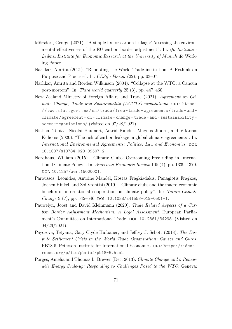- Mörsdorf, George (2021). "A simple fix for carbon leakage? Assessing the environmental effectiveness of the EU carbon border adjustment". In: ifo Institute - Leibniz Institute for Economic Research at the University of Munich ifo Working Paper.
- Narlikar, Amrita (2021). "Rebooting the World Trade institution: A Rethink on Purpose and Practice". In: CESifo Forum (22), pp. 03–07.
- Narlikar, Amrita and Rorden Wilkinson (2004). "Collapse at the WTO: a Cancun post-mortem". In: Third world quarterly 25 (3), pp. 447–460.
- New Zealand Ministry of Foreign Affairs and Trade (2021). Agreement on Climate Change, Trade and Sustainability  $(ACCTS)$  negotiations. URL: [https:](https://www.mfat.govt.nz/en/trade/free-trade-agreements/trade-and-climate/agreement-on-climate-change-trade-and-sustainability-accts-negotiations/) [//www.mfat.govt.nz/en/trade/free- trade- agreements/trade- and](https://www.mfat.govt.nz/en/trade/free-trade-agreements/trade-and-climate/agreement-on-climate-change-trade-and-sustainability-accts-negotiations/)[climate / agreement - on - climate - change - trade - and - sustainability](https://www.mfat.govt.nz/en/trade/free-trade-agreements/trade-and-climate/agreement-on-climate-change-trade-and-sustainability-accts-negotiations/)  [accts-negotiations/](https://www.mfat.govt.nz/en/trade/free-trade-agreements/trade-and-climate/agreement-on-climate-change-trade-and-sustainability-accts-negotiations/) (visited on 07/28/2021).
- Nielsen, Tobias, Nicolai Baumert, Astrid Kander, Magnus Jiborn, and Viktoras Kulionis (2020). "The risk of carbon leakage in global climate agreements". In: International Environmental Agreements: Politics, Law and Economics. DOI: [10.1007/s10784-020-09507-2](https://doi.org/10.1007/s10784-020-09507-2).
- Nordhaus, William (2015). "Climate Clubs: Overcoming Free-riding in International Climate Policy". In: American Economic Review 105 (4), pp. 1339–1370. doi: [10.1257/aer.15000001](https://doi.org/10.1257/aer.15000001).
- Paroussos, Leonidas, Antoine Mandel, Kostas Fragkiadakis, Panagiotis Fragkos, Jochen Hinkel, and Zoi Vrontisi (2019). "Climate clubs and the macro-economic benefits of international cooperation on climate policy". In: Nature Climate Change 9 (7), pp. 542–546. DOI: [10.1038/s41558-019-0501-1](https://doi.org/10.1038/s41558-019-0501-1).
- Pauwelyn, Joost and David Kleinmann (2020). Trade Related Aspects of a Carbon Border Adjustment Mechanism. A Legal Assessment. European Parlia-ment's Committee on International Trade. DOI: [10.2861/34298](https://doi.org/10.2861/34298). (Visited on  $04/26/2021$ .
- Payosova, Tetyana, Gary Clyde Hufbauer, and Jeffrey J. Schott (2018). The Dispute Settlement Crisis in the World Trade Organization: Causes and Cures. PB18-5. Peterson Institute for International Economics. URL: [https://ideas.](https://ideas.repec.org/p/iie/pbrief/pb18-5.html) [repec.org/p/iie/pbrief/pb18-5.html](https://ideas.repec.org/p/iie/pbrief/pb18-5.html).
- Porges, Amelia and Thomas L. Brewer (Dec. 2013). Climate Change and a Renewable Energy Scale-up: Responding to Challenges Posed to the WTO. Geneva: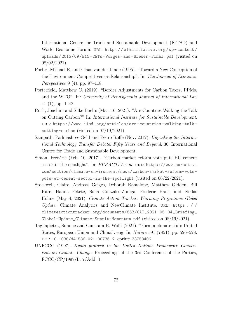International Centre for Trade and Sustainable Development (ICTSD) and World Economic Forum. URL: http://e15initiative.org/wp-content/ uploads/2015/09/E15-CETs-Porges-and-Brewer-Final.pdf (visited on 08/02/2021).

- Porter, Michael E. and Claas van der Linde (1995). "Toward a New Conception of the Environment-Competitiveness Relationship". In: The Journal of Economic Perspectives 9 (4), pp. 97–118.
- Porterfield, Matthew C. (2019). "Border Adjustments for Carbon Taxes, PPMs, and the WTO". In: University of Pennsylvania Journal of International Law 41 (1), pp. 1–42.
- Roth, Joachim and Silke Boelts (Mar. 16, 2021). "Are Countries Walking the Talk on Cutting Carbon?" In: International Institute for Sustainable Development. url: [https://www.iisd.org/articles/are- countries- walking- talk](https://www.iisd.org/articles/are-countries-walking-talk-cutting-carbon)[cutting-carbon](https://www.iisd.org/articles/are-countries-walking-talk-cutting-carbon) (visited on 07/19/2021).
- Sampath, Padmashree Gehl and Pedro Roffe (Nov. 2012). Unpacking the International Technology Transfer Debate: Fifty Years and Beyond. 36. International Centre for Trade and Sustainable Development.
- Simon, Frédéric (Feb. 10, 2017). "Carbon market reform vote puts EU cement sector in the spotlight". In: EURACTIV.com. URL: [https://www.euractiv.](https://www.euractiv.com/section/climate-environment/news/carbon-market-reform-vote-puts-eu-cement-sector-in-the-spotlight) [com/section/climate-environment/news/carbon-market-reform-vote](https://www.euractiv.com/section/climate-environment/news/carbon-market-reform-vote-puts-eu-cement-sector-in-the-spotlight)[puts-eu-cement-sector-in-the-spotlight](https://www.euractiv.com/section/climate-environment/news/carbon-market-reform-vote-puts-eu-cement-sector-in-the-spotlight) (visited on 06/22/2021).
- Stockwell, Claire, Andreas Geiges, Deborah Ramalope, Matthew Gidden, Bill Hare, Hanna Fekete, Sofia Gonzales-Zuñiga, Frederic Hans, and Niklas Höhne (May 4, 2021). Climate Action Tracker: Warming Projections Global Update. Climate Analytics and NewClimate Institute. URL: [https : / /](https://climateactiontracker.org/documents/853/CAT_2021-05-04_Briefing_Global-Update_Climate-Summit-Momentum.pdf) [climateactiontracker.org/documents/853/CAT\\_2021-05-04\\_Briefing\\_](https://climateactiontracker.org/documents/853/CAT_2021-05-04_Briefing_Global-Update_Climate-Summit-Momentum.pdf) [Global-Update\\_Climate-Summit-Momentum.pdf](https://climateactiontracker.org/documents/853/CAT_2021-05-04_Briefing_Global-Update_Climate-Summit-Momentum.pdf) (visited on 08/19/2021).
- Tagliapietra, Simone and Guntram B. Wolff (2021). "Form a climate club: United States, European Union and China". eng. In: Nature 591 (7851), pp. 526–528. doi: [10.1038/d41586-021-00736-2](https://doi.org/10.1038/d41586-021-00736-2). eprint: <33758406>.
- UNFCCC (1997). Kyoto protocol to the United Nations Framework Convention on Climate Change. Proceedings of the 3rd Conference of the Parties, FCCC/CP/1997/L. 7/Add. 1.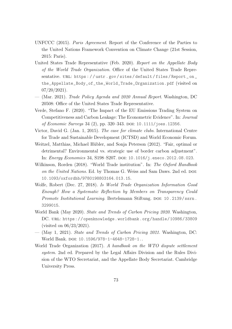- UNFCCC (2015). Paris Agreement. Report of the Conference of the Parties to the United Nations Framework Convention on Climate Change (21st Session, 2015: Paris).
- United States Trade Representative (Feb. 2020). Report on the Appellate Body of the World Trade Organization. Office of the United States Trade Representative. URL: https://ustr.gov/sites/default/files/Report\_on\_ [the\\_Appellate\\_Body\\_of\\_the\\_World\\_Trade\\_Organization.pdf](https://ustr.gov/sites/default/files/Report_on_the_Appellate_Body_of_the_World_Trade_Organization.pdf) (visited on  $07/20/2021$ .
- (Mar. 2021). Trade Policy Agenda and 2020 Annual Report. Washington, DC 20508: Office of the United States Trade Representative.
- Verde, Stefano F. (2020). "The Impact of the EU Emissions Trading System on Competitiveness and Carbon Leakage: The Econometric Evidence". In: Journal of Economic Surveys 34 (2), pp. 320–343. DOI: [10.1111/joes.12356](https://doi.org/10.1111/joes.12356).
- Victor, David G. (Jan. 1, 2015). The case for climate clubs. International Centre for Trade and Sustainable Development (ICTSD) and World Economic Forum.
- Weitzel, Matthias, Michael Hübler, and Sonja Peterson (2012). "Fair, optimal or detrimental? Environmental vs. strategic use of border carbon adjustment". In: *Energy Economics* 34, S198-S207. DOI: [10.1016/j.eneco.2012.08.023](https://doi.org/10.1016/j.eneco.2012.08.023).
- Wilkinson, Rorden (2018). "World Trade institution". In: The Oxford Handbook on the United Nations. Ed. by Thomas G. Weiss and Sam Daws. 2nd ed. poi: [10.1093/oxfordhb/9780198803164.013.15](https://doi.org/10.1093/oxfordhb/9780198803164.013.15).
- Wolfe, Robert (Dec. 27, 2018). Is World Trade Organization Information Good Enough? How a Systematic Reflection by Members on Transparency Could Promote Institutional Learning. Bertelsmann Stiftung. DOI: [10.2139/ssrn.](https://doi.org/10.2139/ssrn.3299015) [3299015](https://doi.org/10.2139/ssrn.3299015).
- World Bank (May 2020). State and Trends of Carbon Pricing 2020. Washington, DC. URL: <https://openknowledge.worldbank.org/handle/10986/33809> (visited on 06/23/2021).
- (May 1, 2021). State and Trends of Carbon Pricing 2021. Washington, DC: World Bank. DOI: [10.1596/978-1-4648-1728-1.](https://doi.org/10.1596/978-1-4648-1728-1.).
- World Trade Organization (2017). A handbook on the WTO dispute settlement system. 2nd ed. Prepared by the Legal Affairs Division and the Rules Division of the WTO Secretariat, and the Appellate Body Secretariat. Cambridge University Press.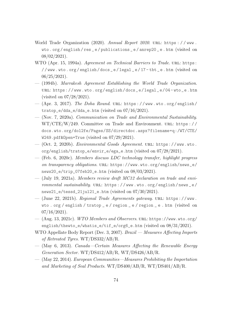- World Trade Organization (2020). Annual Report 2020. URL: https://www. [wto . org / english / res \\_ e / publications \\_ e / anrep20 \\_ e . htm](https://www.wto.org/english/res_e/publications_e/anrep20_e.htm) (visited on 08/02/2021).
- WTO (Apr. 15, 1994a). Agreement on Technical Barriers to Trade. URL: [https:](https://www.wto.org/english/docs_e/legal_e/17-tbt_e.htm) [/ / www . wto . org / english / docs \\_ e / legal \\_ e / 17 - tbt \\_ e . htm](https://www.wto.org/english/docs_e/legal_e/17-tbt_e.htm) (visited on 06/25/2021).
- (1994b). Marrakesh Agreement Establishing the World Trade Organization. url: [https://www.wto.org/english/docs\\_e/legal\\_e/04- wto\\_e.htm](https://www.wto.org/english/docs_e/legal_e/04-wto_e.htm) (visited on 07/28/2021).
- $-$  (Apr. 3, 2017). The Doha Round. URL: https://www.wto.org/english/ [tratop\\_e/dda\\_e/dda\\_e.htm](https://www.wto.org/english/tratop_e/dda_e/dda_e.htm) (visited on 07/16/2021).
- (Nov. 7, 2020a). Communication on Trade and Environmental Sustainability. WT/CTE/W/249. Committee on Trade and Environment. URL: https:// [docs.wto.org/dol2fe/Pages/SS/directdoc.aspx?filename=q:/WT/CTE/](https://docs.wto.org/dol2fe/Pages/SS/directdoc.aspx?filename=q:/WT/CTE/W249.pdf&Open=True) [W249.pdf&Open=True](https://docs.wto.org/dol2fe/Pages/SS/directdoc.aspx?filename=q:/WT/CTE/W249.pdf&Open=True) (visited on 07/29/2021).
- (Oct. 2, 2020b). Environmental Goods Agreement. url: [https://www.wto.](https://www.wto.org/english/tratop_e/envir_e/ega_e.htm) [org/english/tratop\\_e/envir\\_e/ega\\_e.htm](https://www.wto.org/english/tratop_e/envir_e/ega_e.htm) (visited on 07/28/2021).
- $-$  (Feb. 6, 2020c). Members discuss LDC technology transfer, highlight progress on transparency obligations. URL: [https://www.wto.org/english/news\\_e/](https://www.wto.org/english/news_e/news20_e/trip_07feb20_e.htm) [news20\\_e/trip\\_07feb20\\_e.htm](https://www.wto.org/english/news_e/news20_e/trip_07feb20_e.htm) (visited on 08/03/2021).
- (July 19, 2021a). Members review draft MC12 declaration on trade and environmental sustainability. URL: https://www.wto.org/english/news\_e/ [news21\\_e/tessd\\_21jul21\\_e.htm](https://www.wto.org/english/news_e/news21_e/tessd_21jul21_e.htm) (visited on 07/30/2021).
- (June 22, 2021b). Regional Trade Agreements gateway. url: [https://www.](https://www.wto.org/english/tratop_e/region_e/region_e.htm) [wto . org / english / tratop \\_ e / region \\_ e / region \\_ e . htm](https://www.wto.org/english/tratop_e/region_e/region_e.htm) (visited on  $07/16/2021$ .
- (Aug. 13, 2021c). WTO Members and Observers. url: [https://www.wto.org/](https://www.wto.org/english/thewto_e/whatis_e/tif_e/org6_e.htm) [english/thewto\\_e/whatis\\_e/tif\\_e/org6\\_e.htm](https://www.wto.org/english/thewto_e/whatis_e/tif_e/org6_e.htm) (visited on 08/31/2021).
- WTO Appellate Body Report (Dec. 3, 2007). Brazil Measures Affecting Imports of Retreated Tyres. WT/DS332/AB/R.
- $-$  (May 6, 2013). *Canada–Certain Measures Affecting the Renewable Energy* Generation Sector. WT/DS412/AB/R, WT/DS426/AB/R.
- (May 22, 2014). European Communities—Measures Prohibiting the Importation and Marketing of Seal Products. WT/DS400/AB/R, WT/DS401/AB/R.